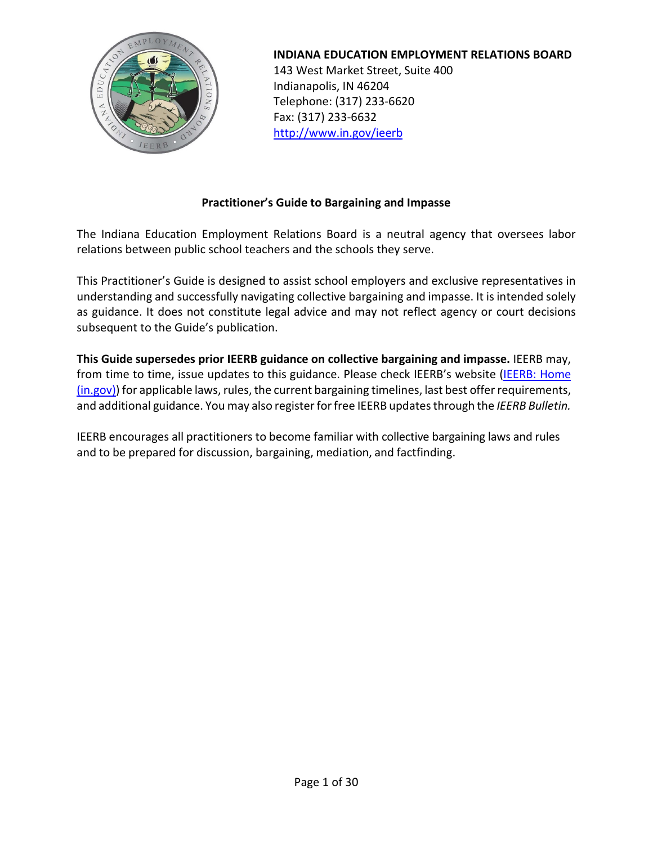

**INDIANA EDUCATION EMPLOYMENT RELATIONS BOARD**

143 West Market Street, Suite 400 Indianapolis, IN 46204 Telephone: (317) 233-6620 Fax: (317) 233-6632 <http://www.in.gov/ieerb>

# **Practitioner's Guide to Bargaining and Impasse**

The Indiana Education Employment Relations Board is a neutral agency that oversees labor relations between public school teachers and the schools they serve.

This Practitioner's Guide is designed to assist school employers and exclusive representatives in understanding and successfully navigating collective bargaining and impasse. It is intended solely as guidance. It does not constitute legal advice and may not reflect agency or court decisions subsequent to the Guide's publication.

**This Guide supersedes prior IEERB guidance on collective bargaining and impasse.** IEERB may, from time to time, issue updates to this guidance. Please check IEERB's website (IEERB: Home  $(in.gov)$ ) for applicable laws, rules, the current bargaining timelines, last best offer requirements, and additional guidance. You may also registerfor free IEERB updates through the *IEERB Bulletin.*

IEERB encourages all practitioners to become familiar with collective bargaining laws and rules and to be prepared for discussion, bargaining, mediation, and factfinding.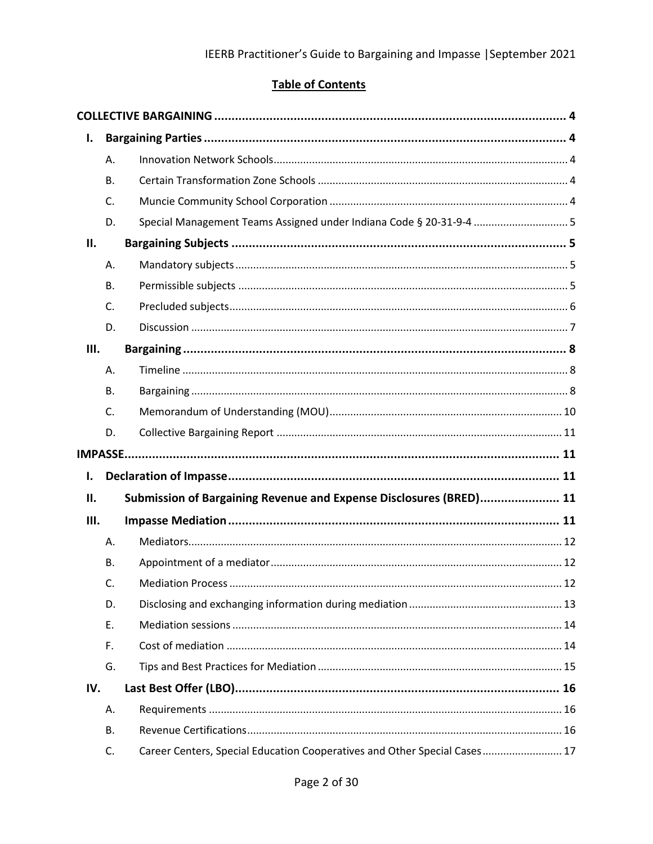# **Table of Contents**

| ı.   |           |                                                                           |  |
|------|-----------|---------------------------------------------------------------------------|--|
|      | Α.        |                                                                           |  |
|      | <b>B.</b> |                                                                           |  |
|      | C.        |                                                                           |  |
|      | D.        | Special Management Teams Assigned under Indiana Code § 20-31-9-4  5       |  |
| ΙΙ.  |           |                                                                           |  |
|      | А.        |                                                                           |  |
|      | <b>B.</b> |                                                                           |  |
|      | C.        |                                                                           |  |
|      | D.        |                                                                           |  |
| III. |           |                                                                           |  |
|      | А.        |                                                                           |  |
|      | В.        |                                                                           |  |
|      | C.        |                                                                           |  |
|      | D.        |                                                                           |  |
|      |           |                                                                           |  |
| I.   |           |                                                                           |  |
| П.   |           | Submission of Bargaining Revenue and Expense Disclosures (BRED) 11        |  |
| Ш.   |           |                                                                           |  |
|      | Α.        |                                                                           |  |
|      | В.        |                                                                           |  |
|      | C.        |                                                                           |  |
|      | D.        |                                                                           |  |
|      | Ε.        |                                                                           |  |
|      | F.        |                                                                           |  |
|      | G.        |                                                                           |  |
| IV.  |           |                                                                           |  |
|      | А.        |                                                                           |  |
|      | В.        |                                                                           |  |
|      | C.        | Career Centers, Special Education Cooperatives and Other Special Cases 17 |  |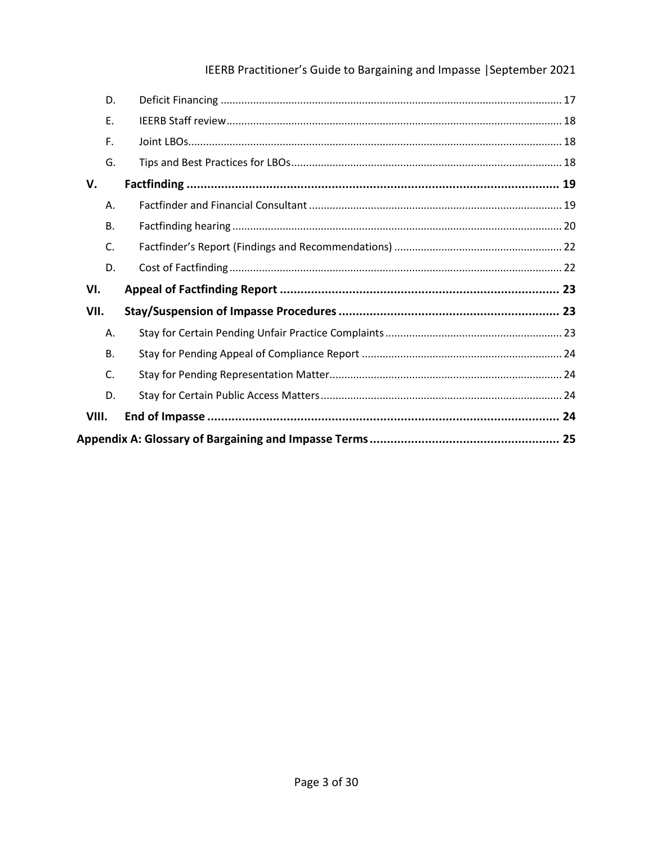# IEERB Practitioner's Guide to Bargaining and Impasse | September 2021

| VIII.     |  |  |  |  |
|-----------|--|--|--|--|
| D.        |  |  |  |  |
| C.        |  |  |  |  |
| <b>B.</b> |  |  |  |  |
| Α.        |  |  |  |  |
| VII.      |  |  |  |  |
| VI.       |  |  |  |  |
| D.        |  |  |  |  |
| C.        |  |  |  |  |
| <b>B.</b> |  |  |  |  |
| Α.        |  |  |  |  |
| V.        |  |  |  |  |
| G.        |  |  |  |  |
| F.        |  |  |  |  |
| E.        |  |  |  |  |
| D.        |  |  |  |  |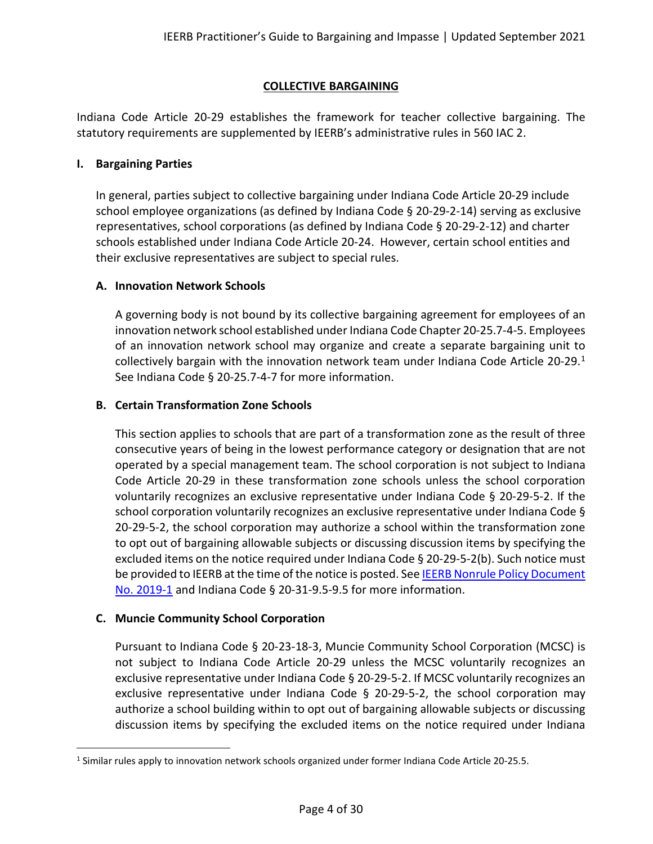## **COLLECTIVE BARGAINING**

<span id="page-3-0"></span>Indiana Code Article 20-29 establishes the framework for teacher collective bargaining. The statutory requirements are supplemented by IEERB's administrative rules in 560 IAC 2.

#### <span id="page-3-1"></span>**I. Bargaining Parties**

In general, parties subject to collective bargaining under Indiana Code Article 20-29 include school employee organizations (as defined by Indiana Code § 20-29-2-14) serving as exclusive representatives, school corporations (as defined by Indiana Code § 20-29-2-12) and charter schools established under Indiana Code Article 20-24. However, certain school entities and their exclusive representatives are subject to special rules.

## <span id="page-3-2"></span>**A. Innovation Network Schools**

A governing body is not bound by its collective bargaining agreement for employees of an innovation network school established under Indiana Code Chapter 20-25.7-4-5. Employees of an innovation network school may organize and create a separate bargaining unit to collectively bargain with the innovation network team under Indiana Code Article 20-29. $<sup>1</sup>$  $<sup>1</sup>$  $<sup>1</sup>$ </sup> See Indiana Code § 20-25.7-4-7 for more information.

## <span id="page-3-3"></span>**B. Certain Transformation Zone Schools**

This section applies to schools that are part of a transformation zone as the result of three consecutive years of being in the lowest performance category or designation that are not operated by a special management team. The school corporation is not subject to Indiana Code Article 20-29 in these transformation zone schools unless the school corporation voluntarily recognizes an exclusive representative under Indiana Code § 20-29-5-2. If the school corporation voluntarily recognizes an exclusive representative under Indiana Code § 20-29-5-2, the school corporation may authorize a school within the transformation zone to opt out of bargaining allowable subjects or discussing discussion items by specifying the excluded items on the notice required under Indiana Code § 20-29-5-2(b). Such notice must be provided to IEERB at the time of the notice is posted. See IEERB Nonrule Policy Document [No. 2019-1](http://iac.iga.in.gov/iac/20190327-IR-560190170NRA.xml.html) and Indiana Code § 20-31-9.5-9.5 for more information.

## <span id="page-3-4"></span>**C. Muncie Community School Corporation**

Pursuant to Indiana Code § 20-23-18-3, Muncie Community School Corporation (MCSC) is not subject to Indiana Code Article 20-29 unless the MCSC voluntarily recognizes an exclusive representative under Indiana Code § 20-29-5-2. If MCSC voluntarily recognizes an exclusive representative under Indiana Code  $\S$  20-29-5-2, the school corporation may authorize a school building within to opt out of bargaining allowable subjects or discussing discussion items by specifying the excluded items on the notice required under Indiana

<span id="page-3-5"></span><sup>&</sup>lt;sup>1</sup> Similar rules apply to innovation network schools organized under former Indiana Code Article 20-25.5.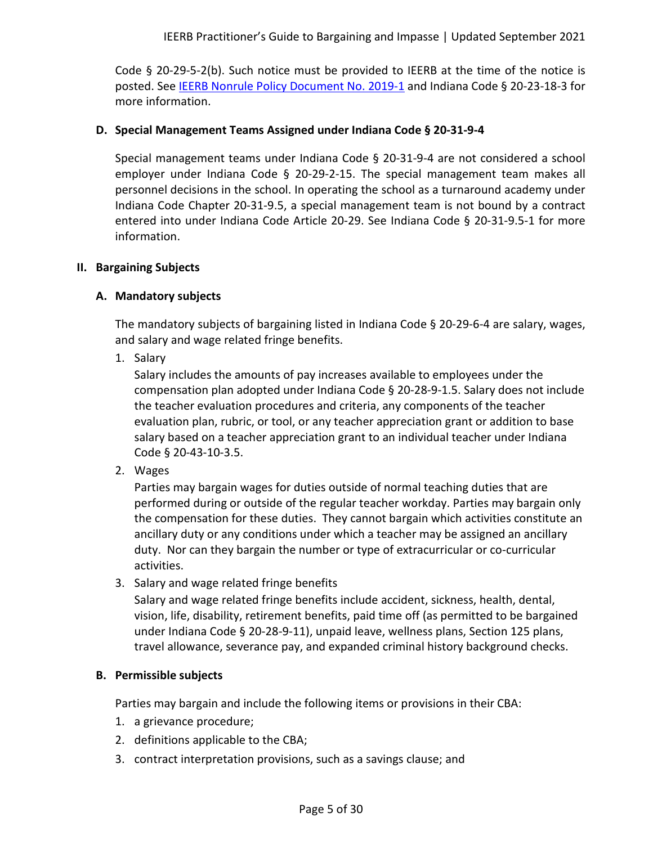Code § 20-29-5-2(b). Such notice must be provided to IEERB at the time of the notice is posted. See [IEERB Nonrule Policy Document No. 2019-1](http://iac.iga.in.gov/iac/20190327-IR-560190170NRA.xml.html) and Indiana Code § 20-23-18-3 for more information.

#### <span id="page-4-0"></span>**D. Special Management Teams Assigned under Indiana Code § 20-31-9-4**

Special management teams under Indiana Code § 20-31-9-4 are not considered a school employer under Indiana Code § 20-29-2-15. The special management team makes all personnel decisions in the school. In operating the school as a turnaround academy under Indiana Code Chapter 20-31-9.5, a special management team is not bound by a contract entered into under Indiana Code Article 20-29. See Indiana Code § 20-31-9.5-1 for more information.

#### <span id="page-4-2"></span><span id="page-4-1"></span>**II. Bargaining Subjects**

## **A. Mandatory subjects**

The mandatory subjects of bargaining listed in Indiana Code § 20-29-6-4 are salary, wages, and salary and wage related fringe benefits.

1. Salary

Salary includes the amounts of pay increases available to employees under the compensation plan adopted under Indiana Code § 20-28-9-1.5. Salary does not include the teacher evaluation procedures and criteria, any components of the teacher evaluation plan, rubric, or tool, or any teacher appreciation grant or addition to base salary based on a teacher appreciation grant to an individual teacher under Indiana Code § 20-43-10-3.5.

2. Wages

Parties may bargain wages for duties outside of normal teaching duties that are performed during or outside of the regular teacher workday. Parties may bargain only the compensation for these duties. They cannot bargain which activities constitute an ancillary duty or any conditions under which a teacher may be assigned an ancillary duty. Nor can they bargain the number or type of extracurricular or co-curricular activities.

3. Salary and wage related fringe benefits

Salary and wage related fringe benefits include accident, sickness, health, dental, vision, life, disability, retirement benefits, paid time off (as permitted to be bargained under Indiana Code § 20-28-9-11), unpaid leave, wellness plans, Section 125 plans, travel allowance, severance pay, and expanded criminal history background checks.

## <span id="page-4-3"></span>**B. Permissible subjects**

Parties may bargain and include the following items or provisions in their CBA:

- 1. a grievance procedure;
- 2. definitions applicable to the CBA;
- 3. contract interpretation provisions, such as a savings clause; and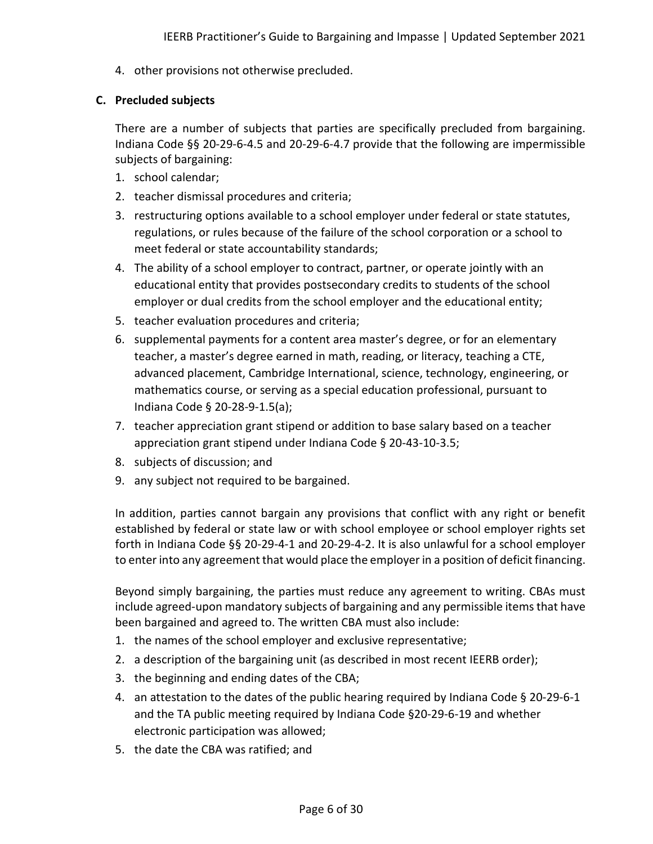4. other provisions not otherwise precluded.

## <span id="page-5-0"></span>**C. Precluded subjects**

There are a number of subjects that parties are specifically precluded from bargaining. Indiana Code §§ 20-29-6-4.5 and 20-29-6-4.7 provide that the following are impermissible subjects of bargaining:

- 1. school calendar;
- 2. teacher dismissal procedures and criteria;
- 3. restructuring options available to a school employer under federal or state statutes, regulations, or rules because of the failure of the school corporation or a school to meet federal or state accountability standards;
- 4. The ability of a school employer to contract, partner, or operate jointly with an educational entity that provides postsecondary credits to students of the school employer or dual credits from the school employer and the educational entity;
- 5. teacher evaluation procedures and criteria;
- 6. supplemental payments for a content area master's degree, or for an elementary teacher, a master's degree earned in math, reading, or literacy, teaching a CTE, advanced placement, Cambridge International, science, technology, engineering, or mathematics course, or serving as a special education professional, pursuant to Indiana Code § 20-28-9-1.5(a);
- 7. teacher appreciation grant stipend or addition to base salary based on a teacher appreciation grant stipend under Indiana Code § 20-43-10-3.5;
- 8. subjects of discussion; and
- 9. any subject not required to be bargained.

In addition, parties cannot bargain any provisions that conflict with any right or benefit established by federal or state law or with school employee or school employer rights set forth in Indiana Code §§ 20-29-4-1 and 20-29-4-2. It is also unlawful for a school employer to enter into any agreement that would place the employer in a position of deficit financing.

Beyond simply bargaining, the parties must reduce any agreement to writing. CBAs must include agreed-upon mandatory subjects of bargaining and any permissible items that have been bargained and agreed to. The written CBA must also include:

- 1. the names of the school employer and exclusive representative;
- 2. a description of the bargaining unit (as described in most recent IEERB order);
- 3. the beginning and ending dates of the CBA;
- 4. an attestation to the dates of the public hearing required by Indiana Code § 20-29-6-1 and the TA public meeting required by Indiana Code §20-29-6-19 and whether electronic participation was allowed;
- 5. the date the CBA was ratified; and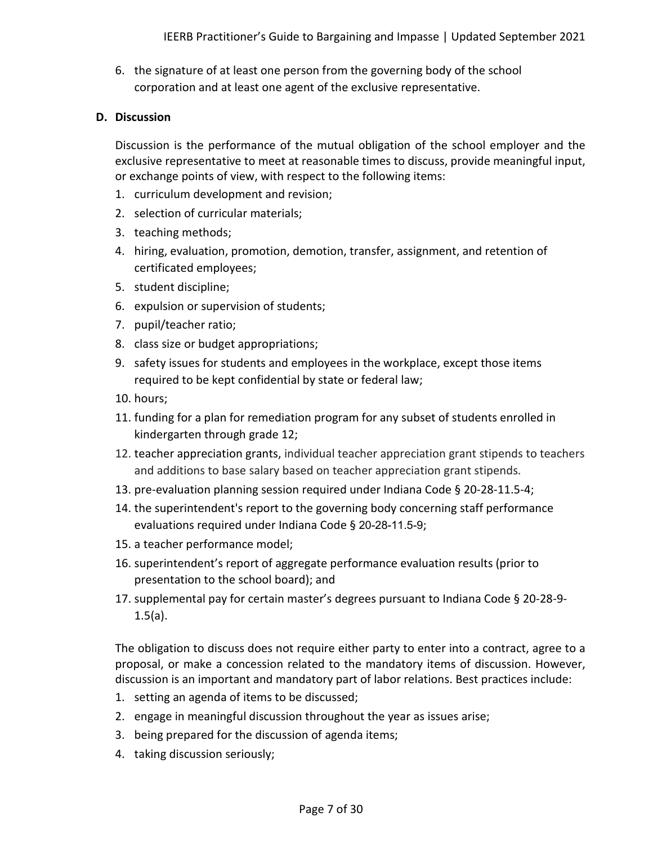6. the signature of at least one person from the governing body of the school corporation and at least one agent of the exclusive representative.

## <span id="page-6-0"></span>**D. Discussion**

Discussion is the performance of the mutual obligation of the school employer and the exclusive representative to meet at reasonable times to discuss, provide meaningful input, or exchange points of view, with respect to the following items:

- 1. curriculum development and revision;
- 2. selection of curricular materials;
- 3. teaching methods;
- 4. hiring, evaluation, promotion, demotion, transfer, assignment, and retention of certificated employees;
- 5. student discipline;
- 6. expulsion or supervision of students;
- 7. pupil/teacher ratio;
- 8. class size or budget appropriations;
- 9. safety issues for students and employees in the workplace, except those items required to be kept confidential by state or federal law;
- 10. hours;
- 11. funding for a plan for remediation program for any subset of students enrolled in kindergarten through grade 12;
- 12. teacher appreciation grants, individual teacher appreciation grant stipends to teachers and additions to base salary based on teacher appreciation grant stipends.
- 13. pre-evaluation planning session required under Indiana Code § 20-28-11.5-4;
- 14. the superintendent's report to the governing body concerning staff performance evaluations required under Indiana Code § 20-28-11.5-9;
- 15. a teacher performance model;
- 16. superintendent's report of aggregate performance evaluation results (prior to presentation to the school board); and
- 17. supplemental pay for certain master's degrees pursuant to Indiana Code § 20-28-9-  $1.5(a)$ .

The obligation to discuss does not require either party to enter into a contract, agree to a proposal, or make a concession related to the mandatory items of discussion. However, discussion is an important and mandatory part of labor relations. Best practices include:

- 1. setting an agenda of items to be discussed;
- 2. engage in meaningful discussion throughout the year as issues arise;
- 3. being prepared for the discussion of agenda items;
- 4. taking discussion seriously;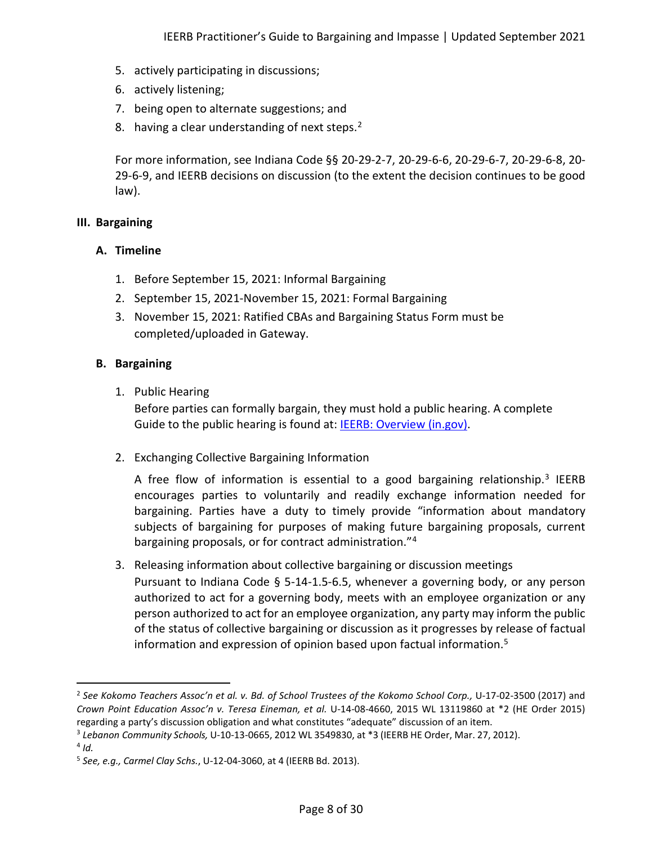- 5. actively participating in discussions;
- 6. actively listening;
- 7. being open to alternate suggestions; and
- 8. having a clear understanding of next steps.<sup>[2](#page-7-3)</sup>

For more information, see Indiana Code §§ 20-29-2-7, 20-29-6-6, 20-29-6-7, 20-29-6-8, 20- 29-6-9, and IEERB decisions on discussion (to the extent the decision continues to be good law).

## <span id="page-7-1"></span><span id="page-7-0"></span>**III. Bargaining**

## **A. Timeline**

- 1. Before September 15, 2021: Informal Bargaining
- 2. September 15, 2021-November 15, 2021: Formal Bargaining
- 3. November 15, 2021: Ratified CBAs and Bargaining Status Form must be completed/uploaded in Gateway.

## <span id="page-7-2"></span>**B. Bargaining**

1. Public Hearing

Before parties can formally bargain, they must hold a public hearing. A complete Guide to the public hearing is found at: **IEERB: Overview (in.gov)**.

2. Exchanging Collective Bargaining Information

A free flow of information is essential to a good bargaining relationship.<sup>[3](#page-7-4)</sup> IEERB encourages parties to voluntarily and readily exchange information needed for bargaining. Parties have a duty to timely provide "information about mandatory subjects of bargaining for purposes of making future bargaining proposals, current bargaining proposals, or for contract administration."<sup>[4](#page-7-5)</sup>

3. Releasing information about collective bargaining or discussion meetings Pursuant to Indiana Code § 5-14-1.5-6.5, whenever a governing body, or any person authorized to act for a governing body, meets with an employee organization or any person authorized to act for an employee organization, any party may inform the public of the status of collective bargaining or discussion as it progresses by release of factual information and expression of opinion based upon factual information. [5](#page-7-6)

<span id="page-7-3"></span><sup>2</sup> *See Kokomo Teachers Assoc'n et al. v. Bd. of School Trustees of the Kokomo School Corp.,* U-17-02-3500 (2017) and *Crown Point Education Assoc'n v. Teresa Eineman, et al.* U-14-08-4660, 2015 WL 13119860 at \*2 (HE Order 2015) regarding a party's discussion obligation and what constitutes "adequate" discussion of an item.

<span id="page-7-4"></span><sup>3</sup> *Lebanon Community Schools,* U-10-13-0665, 2012 WL 3549830, at \*3 (IEERB HE Order, Mar. 27, 2012).

<span id="page-7-5"></span> $4$  *Id.* 

<span id="page-7-6"></span><sup>5</sup> *See, e.g., Carmel Clay Schs.*, U-12-04-3060, at 4 (IEERB Bd. 2013).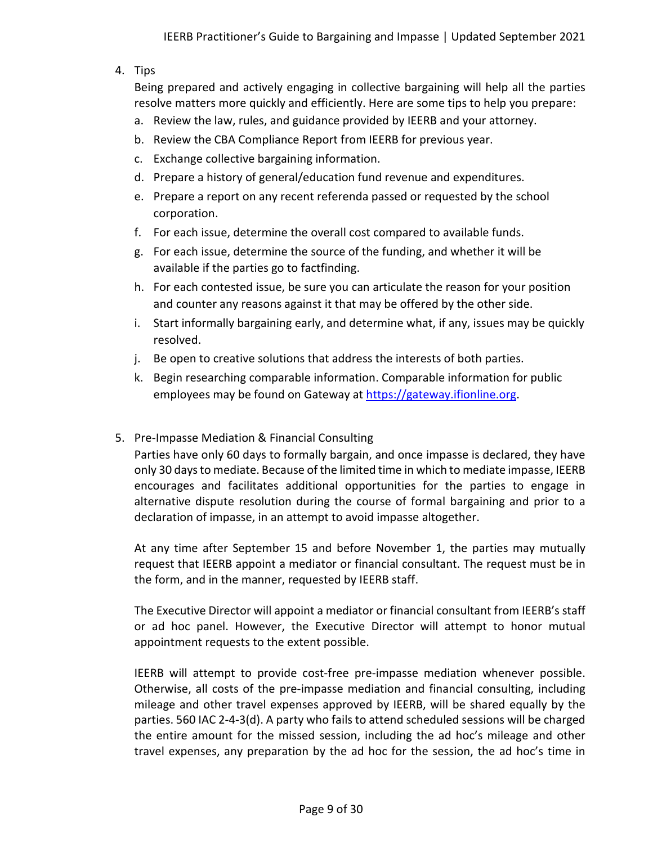## 4. Tips

Being prepared and actively engaging in collective bargaining will help all the parties resolve matters more quickly and efficiently. Here are some tips to help you prepare:

- a. Review the law, rules, and guidance provided by IEERB and your attorney.
- b. Review the CBA Compliance Report from IEERB for previous year.
- c. Exchange collective bargaining information.
- d. Prepare a history of general/education fund revenue and expenditures.
- e. Prepare a report on any recent referenda passed or requested by the school corporation.
- f. For each issue, determine the overall cost compared to available funds.
- g. For each issue, determine the source of the funding, and whether it will be available if the parties go to factfinding.
- h. For each contested issue, be sure you can articulate the reason for your position and counter any reasons against it that may be offered by the other side.
- i. Start informally bargaining early, and determine what, if any, issues may be quickly resolved.
- j. Be open to creative solutions that address the interests of both parties.
- k. Begin researching comparable information. Comparable information for public employees may be found on Gateway at [https://gateway.ifionline.org.](https://gateway.ifionline.org/)

## 5. Pre-Impasse Mediation & Financial Consulting

Parties have only 60 days to formally bargain, and once impasse is declared, they have only 30 days to mediate. Because of the limited time in which to mediate impasse, IEERB encourages and facilitates additional opportunities for the parties to engage in alternative dispute resolution during the course of formal bargaining and prior to a declaration of impasse, in an attempt to avoid impasse altogether.

At any time after September 15 and before November 1, the parties may mutually request that IEERB appoint a mediator or financial consultant. The request must be in the form, and in the manner, requested by IEERB staff.

The Executive Director will appoint a mediator or financial consultant from IEERB's staff or ad hoc panel. However, the Executive Director will attempt to honor mutual appointment requests to the extent possible.

IEERB will attempt to provide cost-free pre-impasse mediation whenever possible. Otherwise, all costs of the pre-impasse mediation and financial consulting, including mileage and other travel expenses approved by IEERB, will be shared equally by the parties. 560 IAC 2-4-3(d). A party who fails to attend scheduled sessions will be charged the entire amount for the missed session, including the ad hoc's mileage and other travel expenses, any preparation by the ad hoc for the session, the ad hoc's time in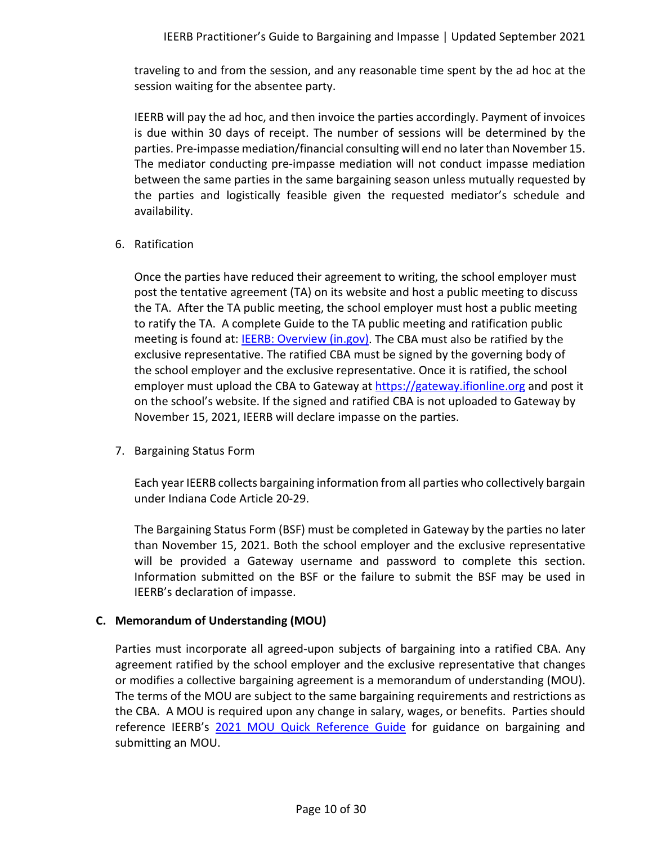traveling to and from the session, and any reasonable time spent by the ad hoc at the session waiting for the absentee party.

IEERB will pay the ad hoc, and then invoice the parties accordingly. Payment of invoices is due within 30 days of receipt. The number of sessions will be determined by the parties. Pre-impasse mediation/financial consulting will end no later than November 15. The mediator conducting pre-impasse mediation will not conduct impasse mediation between the same parties in the same bargaining season unless mutually requested by the parties and logistically feasible given the requested mediator's schedule and availability.

6. Ratification

Once the parties have reduced their agreement to writing, the school employer must post the tentative agreement (TA) on its website and host a public meeting to discuss the TA. After the TA public meeting, the school employer must host a public meeting to ratify the TA. A complete Guide to the TA public meeting and ratification public meeting is found at: [IEERB: Overview \(in.gov\).](https://www.in.gov/ieerb/collective-bargaining-and-impasse/overview/) The CBA must also be ratified by the exclusive representative. The ratified CBA must be signed by the governing body of the school employer and the exclusive representative. Once it is ratified, the school employer must upload the CBA to Gateway at [https://gateway.ifionline.org](https://gateway.ifionline.org/) and post it on the school's website. If the signed and ratified CBA is not uploaded to Gateway by November 15, 2021, IEERB will declare impasse on the parties.

7. Bargaining Status Form

Each year IEERB collects bargaining information from all parties who collectively bargain under Indiana Code Article 20-29.

The Bargaining Status Form (BSF) must be completed in Gateway by the parties no later than November 15, 2021. Both the school employer and the exclusive representative will be provided a Gateway username and password to complete this section. Information submitted on the BSF or the failure to submit the BSF may be used in IEERB's declaration of impasse.

# <span id="page-9-0"></span>**C. Memorandum of Understanding (MOU)**

Parties must incorporate all agreed-upon subjects of bargaining into a ratified CBA. Any agreement ratified by the school employer and the exclusive representative that changes or modifies a collective bargaining agreement is a memorandum of understanding (MOU). The terms of the MOU are subject to the same bargaining requirements and restrictions as the CBA. A MOU is required upon any change in salary, wages, or benefits. Parties should reference IEERB's [2021 MOU Quick Reference Guide](https://www.in.gov/ieerb/files/2021-MOU-Quick-Reference-Guide.pdf) for guidance on bargaining and submitting an MOU.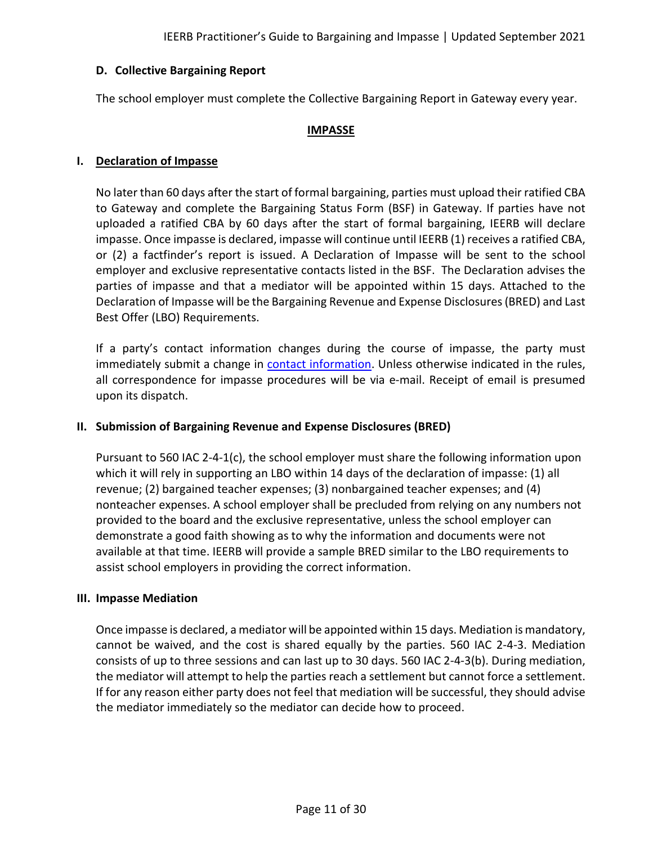## <span id="page-10-0"></span>**D. Collective Bargaining Report**

The school employer must complete the Collective Bargaining Report in Gateway every year.

#### **IMPASSE**

#### <span id="page-10-2"></span><span id="page-10-1"></span>**I. Declaration of Impasse**

No later than 60 days after the start of formal bargaining, parties must upload their ratified CBA to Gateway and complete the Bargaining Status Form (BSF) in Gateway. If parties have not uploaded a ratified CBA by 60 days after the start of formal bargaining, IEERB will declare impasse. Once impasse is declared, impasse will continue until IEERB (1) receives a ratified CBA, or (2) a factfinder's report is issued. A Declaration of Impasse will be sent to the school employer and exclusive representative contacts listed in the BSF. The Declaration advises the parties of impasse and that a mediator will be appointed within 15 days. Attached to the Declaration of Impasse will be the Bargaining Revenue and Expense Disclosures (BRED) and Last Best Offer (LBO) Requirements.

If a party's contact information changes during the course of impasse, the party must immediately submit a change in [contact information.](https://www.in.gov/ieerb/contact-us/party-contact-update/) Unless otherwise indicated in the rules, all correspondence for impasse procedures will be via e-mail. Receipt of email is presumed upon its dispatch.

## <span id="page-10-3"></span>**II. Submission of Bargaining Revenue and Expense Disclosures (BRED)**

Pursuant to 560 IAC 2-4-1(c), the school employer must share the following information upon which it will rely in supporting an LBO within 14 days of the declaration of impasse: (1) all revenue; (2) bargained teacher expenses; (3) nonbargained teacher expenses; and (4) nonteacher expenses. A school employer shall be precluded from relying on any numbers not provided to the board and the exclusive representative, unless the school employer can demonstrate a good faith showing as to why the information and documents were not available at that time. IEERB will provide a sample BRED similar to the LBO requirements to assist school employers in providing the correct information.

#### <span id="page-10-4"></span>**III. Impasse Mediation**

Once impasse is declared, a mediator will be appointed within 15 days. Mediation is mandatory, cannot be waived, and the cost is shared equally by the parties. 560 IAC 2-4-3. Mediation consists of up to three sessions and can last up to 30 days. 560 IAC 2-4-3(b). During mediation, the mediator will attempt to help the parties reach a settlement but cannot force a settlement. If for any reason either party does not feel that mediation will be successful, they should advise the mediator immediately so the mediator can decide how to proceed.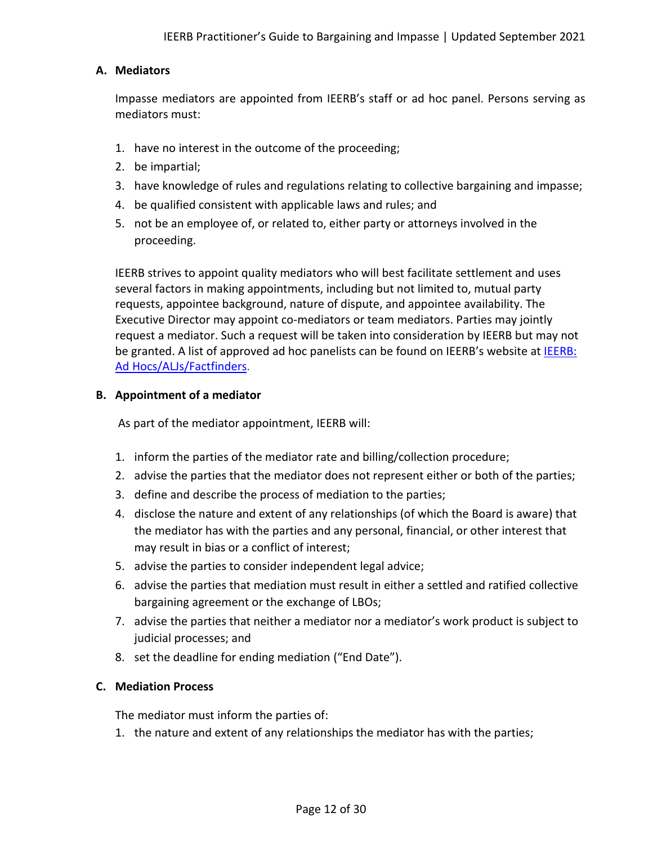## <span id="page-11-0"></span>**A. Mediators**

Impasse mediators are appointed from IEERB's staff or ad hoc panel. Persons serving as mediators must:

- 1. have no interest in the outcome of the proceeding;
- 2. be impartial;
- 3. have knowledge of rules and regulations relating to collective bargaining and impasse;
- 4. be qualified consistent with applicable laws and rules; and
- 5. not be an employee of, or related to, either party or attorneys involved in the proceeding.

IEERB strives to appoint quality mediators who will best facilitate settlement and uses several factors in making appointments, including but not limited to, mutual party requests, appointee background, nature of dispute, and appointee availability. The Executive Director may appoint co-mediators or team mediators. Parties may jointly request a mediator. Such a request will be taken into consideration by IEERB but may not be granted. A list of approved ad hoc panelists can be found on IEERB's website at IEERB: [Ad Hocs/ALJs/Factfinders.](https://www.in.gov/ieerb/about-ieerb/ad-hocsaljsfactfinders/)

## <span id="page-11-1"></span>**B. Appointment of a mediator**

As part of the mediator appointment, IEERB will:

- 1. inform the parties of the mediator rate and billing/collection procedure;
- 2. advise the parties that the mediator does not represent either or both of the parties;
- 3. define and describe the process of mediation to the parties;
- 4. disclose the nature and extent of any relationships (of which the Board is aware) that the mediator has with the parties and any personal, financial, or other interest that may result in bias or a conflict of interest;
- 5. advise the parties to consider independent legal advice;
- 6. advise the parties that mediation must result in either a settled and ratified collective bargaining agreement or the exchange of LBOs;
- 7. advise the parties that neither a mediator nor a mediator's work product is subject to judicial processes; and
- 8. set the deadline for ending mediation ("End Date").

## <span id="page-11-2"></span>**C. Mediation Process**

The mediator must inform the parties of:

1. the nature and extent of any relationships the mediator has with the parties;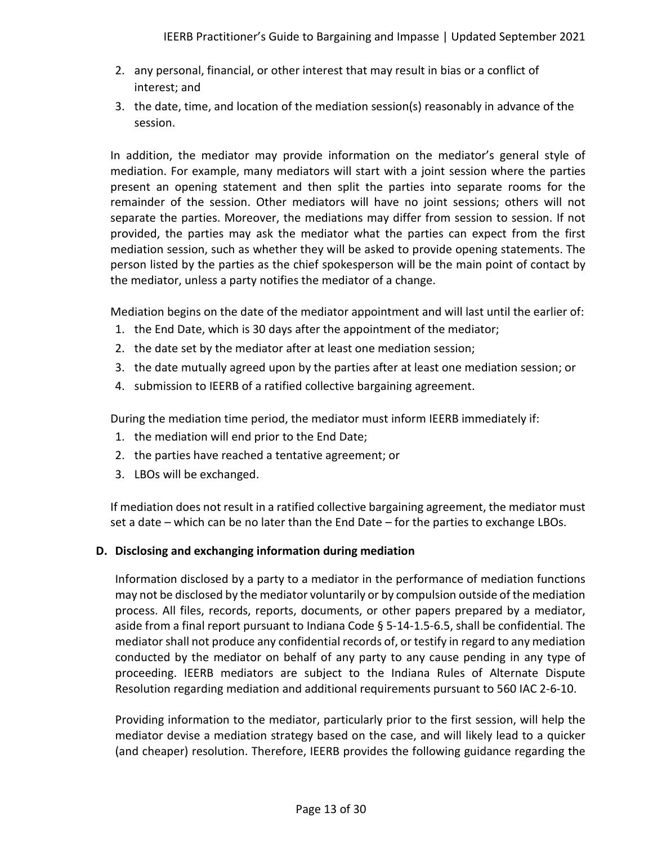- 2. any personal, financial, or other interest that may result in bias or a conflict of interest; and
- 3. the date, time, and location of the mediation session(s) reasonably in advance of the session.

In addition, the mediator may provide information on the mediator's general style of mediation. For example, many mediators will start with a joint session where the parties present an opening statement and then split the parties into separate rooms for the remainder of the session. Other mediators will have no joint sessions; others will not separate the parties. Moreover, the mediations may differ from session to session. If not provided, the parties may ask the mediator what the parties can expect from the first mediation session, such as whether they will be asked to provide opening statements. The person listed by the parties as the chief spokesperson will be the main point of contact by the mediator, unless a party notifies the mediator of a change.

Mediation begins on the date of the mediator appointment and will last until the earlier of:

- 1. the End Date, which is 30 days after the appointment of the mediator;
- 2. the date set by the mediator after at least one mediation session;
- 3. the date mutually agreed upon by the parties after at least one mediation session; or
- 4. submission to IEERB of a ratified collective bargaining agreement.

During the mediation time period, the mediator must inform IEERB immediately if:

- 1. the mediation will end prior to the End Date;
- 2. the parties have reached a tentative agreement; or
- 3. LBOs will be exchanged.

If mediation does not result in a ratified collective bargaining agreement, the mediator must set a date – which can be no later than the End Date – for the parties to exchange LBOs.

## <span id="page-12-0"></span>**D. Disclosing and exchanging information during mediation**

Information disclosed by a party to a mediator in the performance of mediation functions may not be disclosed by the mediator voluntarily or by compulsion outside of the mediation process. All files, records, reports, documents, or other papers prepared by a mediator, aside from a final report pursuant to Indiana Code § 5-14-1.5-6.5, shall be confidential. The mediator shall not produce any confidential records of, or testify in regard to any mediation conducted by the mediator on behalf of any party to any cause pending in any type of proceeding. IEERB mediators are subject to the Indiana Rules of Alternate Dispute Resolution regarding mediation and additional requirements pursuant to 560 IAC 2-6-10.

Providing information to the mediator, particularly prior to the first session, will help the mediator devise a mediation strategy based on the case, and will likely lead to a quicker (and cheaper) resolution. Therefore, IEERB provides the following guidance regarding the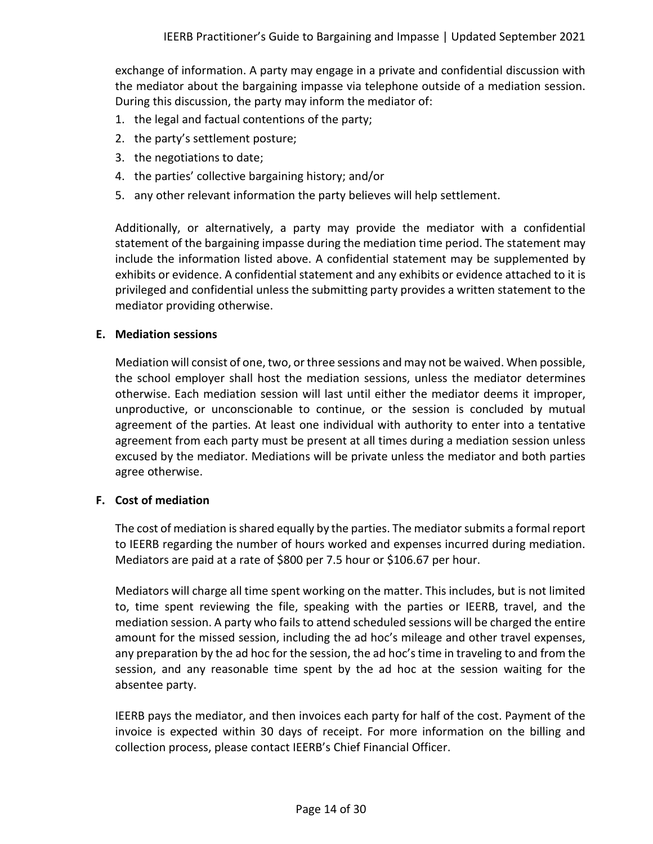exchange of information. A party may engage in a private and confidential discussion with the mediator about the bargaining impasse via telephone outside of a mediation session. During this discussion, the party may inform the mediator of:

- 1. the legal and factual contentions of the party;
- 2. the party's settlement posture;
- 3. the negotiations to date;
- 4. the parties' collective bargaining history; and/or
- 5. any other relevant information the party believes will help settlement.

Additionally, or alternatively, a party may provide the mediator with a confidential statement of the bargaining impasse during the mediation time period. The statement may include the information listed above. A confidential statement may be supplemented by exhibits or evidence. A confidential statement and any exhibits or evidence attached to it is privileged and confidential unless the submitting party provides a written statement to the mediator providing otherwise.

## <span id="page-13-0"></span>**E. Mediation sessions**

Mediation will consist of one, two, or three sessions and may not be waived. When possible, the school employer shall host the mediation sessions, unless the mediator determines otherwise. Each mediation session will last until either the mediator deems it improper, unproductive, or unconscionable to continue, or the session is concluded by mutual agreement of the parties. At least one individual with authority to enter into a tentative agreement from each party must be present at all times during a mediation session unless excused by the mediator. Mediations will be private unless the mediator and both parties agree otherwise.

## <span id="page-13-1"></span>**F. Cost of mediation**

The cost of mediation is shared equally by the parties. The mediator submits a formal report to IEERB regarding the number of hours worked and expenses incurred during mediation. Mediators are paid at a rate of \$800 per 7.5 hour or \$106.67 per hour.

Mediators will charge all time spent working on the matter. This includes, but is not limited to, time spent reviewing the file, speaking with the parties or IEERB, travel, and the mediation session. A party who fails to attend scheduled sessions will be charged the entire amount for the missed session, including the ad hoc's mileage and other travel expenses, any preparation by the ad hoc for the session, the ad hoc's time in traveling to and from the session, and any reasonable time spent by the ad hoc at the session waiting for the absentee party.

IEERB pays the mediator, and then invoices each party for half of the cost. Payment of the invoice is expected within 30 days of receipt. For more information on the billing and collection process, please contact IEERB's Chief Financial Officer.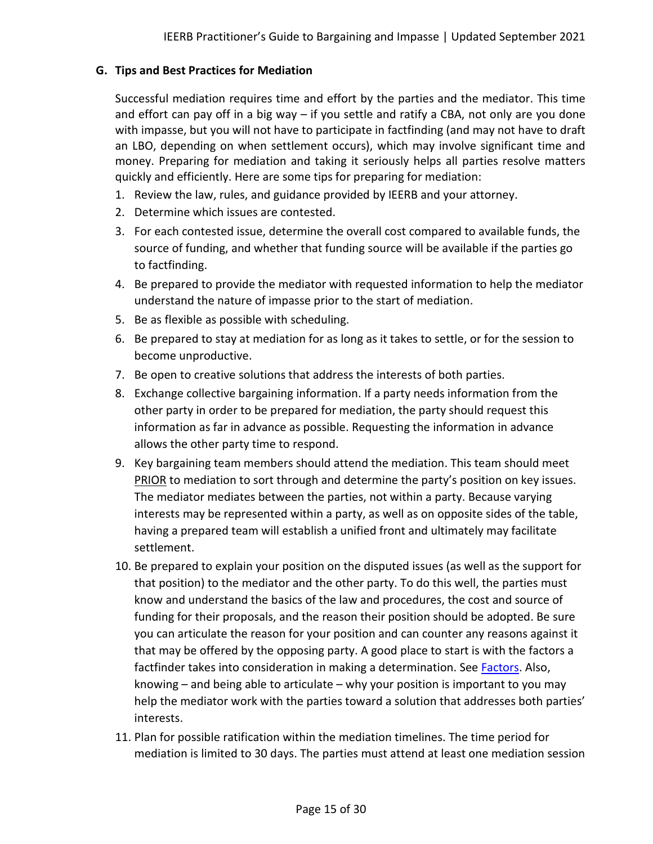## <span id="page-14-0"></span>**G. Tips and Best Practices for Mediation**

Successful mediation requires time and effort by the parties and the mediator. This time and effort can pay off in a big way – if you settle and ratify a CBA, not only are you done with impasse, but you will not have to participate in factfinding (and may not have to draft an LBO, depending on when settlement occurs), which may involve significant time and money. Preparing for mediation and taking it seriously helps all parties resolve matters quickly and efficiently. Here are some tips for preparing for mediation:

- 1. Review the law, rules, and guidance provided by IEERB and your attorney.
- 2. Determine which issues are contested.
- 3. For each contested issue, determine the overall cost compared to available funds, the source of funding, and whether that funding source will be available if the parties go to factfinding.
- 4. Be prepared to provide the mediator with requested information to help the mediator understand the nature of impasse prior to the start of mediation.
- 5. Be as flexible as possible with scheduling.
- 6. Be prepared to stay at mediation for as long as it takes to settle, or for the session to become unproductive.
- 7. Be open to creative solutions that address the interests of both parties.
- 8. Exchange collective bargaining information. If a party needs information from the other party in order to be prepared for mediation, the party should request this information as far in advance as possible. Requesting the information in advance allows the other party time to respond.
- 9. Key bargaining team members should attend the mediation. This team should meet PRIOR to mediation to sort through and determine the party's position on key issues. The mediator mediates between the parties, not within a party. Because varying interests may be represented within a party, as well as on opposite sides of the table, having a prepared team will establish a unified front and ultimately may facilitate settlement.
- 10. Be prepared to explain your position on the disputed issues (as well as the support for that position) to the mediator and the other party. To do this well, the parties must know and understand the basics of the law and procedures, the cost and source of funding for their proposals, and the reason their position should be adopted. Be sure you can articulate the reason for your position and can counter any reasons against it that may be offered by the opposing party. A good place to start is with the factors a factfinder takes into consideration in making a determination. See **Factors**. Also, knowing – and being able to articulate – why your position is important to you may help the mediator work with the parties toward a solution that addresses both parties' interests.
- 11. Plan for possible ratification within the mediation timelines. The time period for mediation is limited to 30 days. The parties must attend at least one mediation session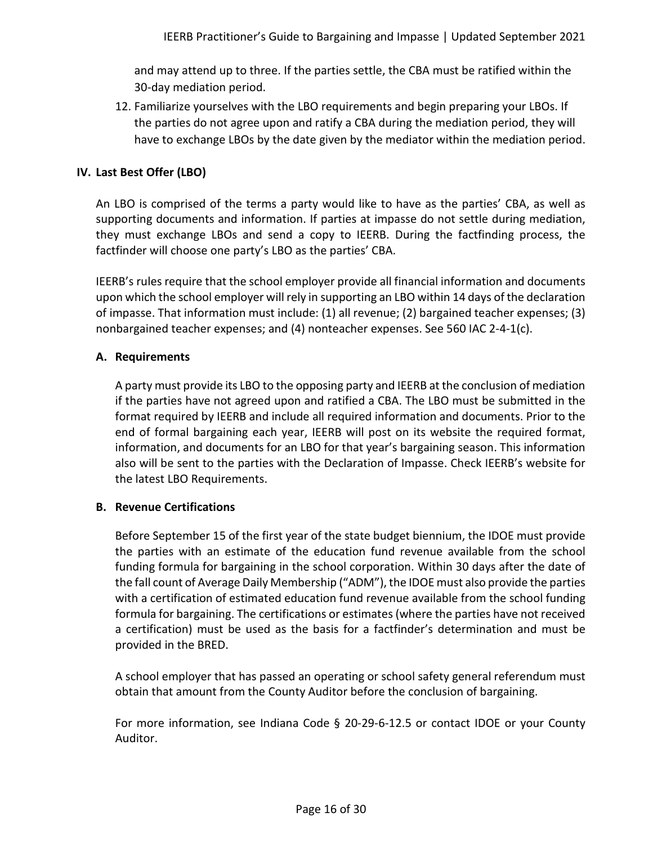and may attend up to three. If the parties settle, the CBA must be ratified within the 30-day mediation period.

12. Familiarize yourselves with the LBO requirements and begin preparing your LBOs. If the parties do not agree upon and ratify a CBA during the mediation period, they will have to exchange LBOs by the date given by the mediator within the mediation period.

## <span id="page-15-0"></span>**IV. Last Best Offer (LBO)**

An LBO is comprised of the terms a party would like to have as the parties' CBA, as well as supporting documents and information. If parties at impasse do not settle during mediation, they must exchange LBOs and send a copy to IEERB. During the factfinding process, the factfinder will choose one party's LBO as the parties' CBA.

IEERB's rules require that the school employer provide all financial information and documents upon which the school employer will rely in supporting an LBO within 14 days of the declaration of impasse. That information must include: (1) all revenue; (2) bargained teacher expenses; (3) nonbargained teacher expenses; and (4) nonteacher expenses. See 560 IAC 2-4-1(c).

## <span id="page-15-1"></span>**A. Requirements**

A party must provide its LBO to the opposing party and IEERB at the conclusion of mediation if the parties have not agreed upon and ratified a CBA. The LBO must be submitted in the format required by IEERB and include all required information and documents. Prior to the end of formal bargaining each year, IEERB will post on its website the required format, information, and documents for an LBO for that year's bargaining season. This information also will be sent to the parties with the Declaration of Impasse. Check IEERB's website for the latest LBO Requirements.

## <span id="page-15-2"></span>**B. Revenue Certifications**

Before September 15 of the first year of the state budget biennium, the IDOE must provide the parties with an estimate of the education fund revenue available from the school funding formula for bargaining in the school corporation. Within 30 days after the date of the fall count of Average Daily Membership ("ADM"), the IDOE must also provide the parties with a certification of estimated education fund revenue available from the school funding formula for bargaining. The certifications or estimates (where the parties have not received a certification) must be used as the basis for a factfinder's determination and must be provided in the BRED.

A school employer that has passed an operating or school safety general referendum must obtain that amount from the County Auditor before the conclusion of bargaining.

For more information, see Indiana Code § 20-29-6-12.5 or contact IDOE or your County Auditor.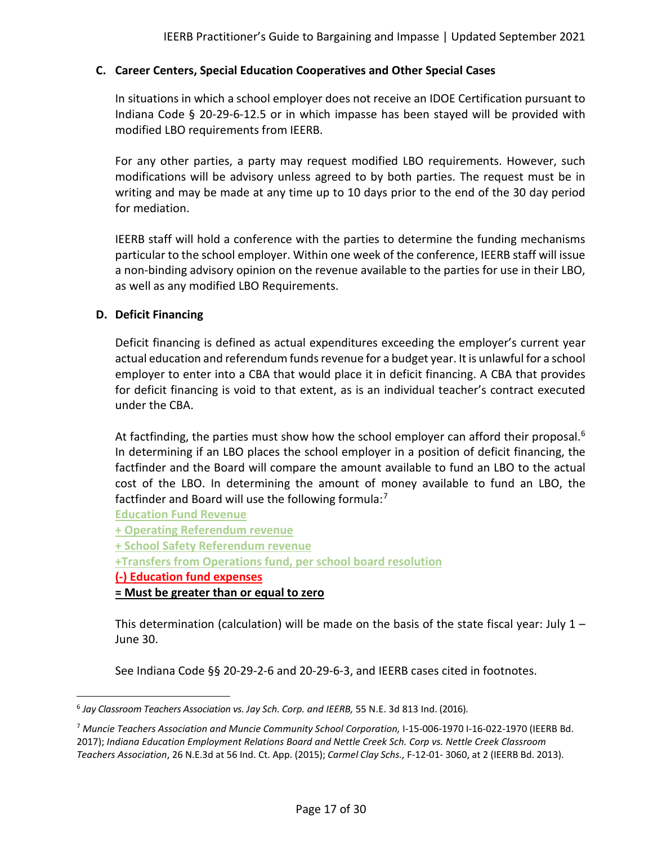## <span id="page-16-0"></span>**C. Career Centers, Special Education Cooperatives and Other Special Cases**

In situations in which a school employer does not receive an IDOE Certification pursuant to Indiana Code § 20-29-6-12.5 or in which impasse has been stayed will be provided with modified LBO requirements from IEERB.

For any other parties, a party may request modified LBO requirements. However, such modifications will be advisory unless agreed to by both parties. The request must be in writing and may be made at any time up to 10 days prior to the end of the 30 day period for mediation.

IEERB staff will hold a conference with the parties to determine the funding mechanisms particular to the school employer. Within one week of the conference, IEERB staff will issue a non-binding advisory opinion on the revenue available to the parties for use in their LBO, as well as any modified LBO Requirements.

#### <span id="page-16-1"></span>**D. Deficit Financing**

Deficit financing is defined as actual expenditures exceeding the employer's current year actual education and referendum funds revenue for a budget year. It is unlawful for a school employer to enter into a CBA that would place it in deficit financing. A CBA that provides for deficit financing is void to that extent, as is an individual teacher's contract executed under the CBA.

At factfinding, the parties must show how the school employer can afford their proposal.<sup>[6](#page-16-2)</sup> In determining if an LBO places the school employer in a position of deficit financing, the factfinder and the Board will compare the amount available to fund an LBO to the actual cost of the LBO. In determining the amount of money available to fund an LBO, the factfinder and Board will use the following formula: $<sup>7</sup>$  $<sup>7</sup>$  $<sup>7</sup>$ </sup>

**Education Fund Revenue**

**+ Operating Referendum revenue**

**+ School Safety Referendum revenue**

**+Transfers from Operations fund, per school board resolution**

**(-) Education fund expenses**

**= Must be greater than or equal to zero**

This determination (calculation) will be made on the basis of the state fiscal year: July  $1 -$ June 30.

See Indiana Code §§ 20-29-2-6 and 20-29-6-3, and IEERB cases cited in footnotes.

<span id="page-16-2"></span><sup>6</sup> *Jay Classroom Teachers Association vs. Jay Sch. Corp. and IEERB,* 55 N.E. 3d 813 Ind. (2016).

<span id="page-16-3"></span><sup>7</sup> *Muncie Teachers Association and Muncie Community School Corporation,* I-15-006-1970 I-16-022-1970 (IEERB Bd. 2017); *Indiana Education Employment Relations Board and Nettle Creek Sch. Corp vs. Nettle Creek Classroom Teachers Association*, 26 N.E.3d at 56 Ind. Ct. App. (2015); *Carmel Clay Schs.,* F-12-01- 3060, at 2 (IEERB Bd. 2013).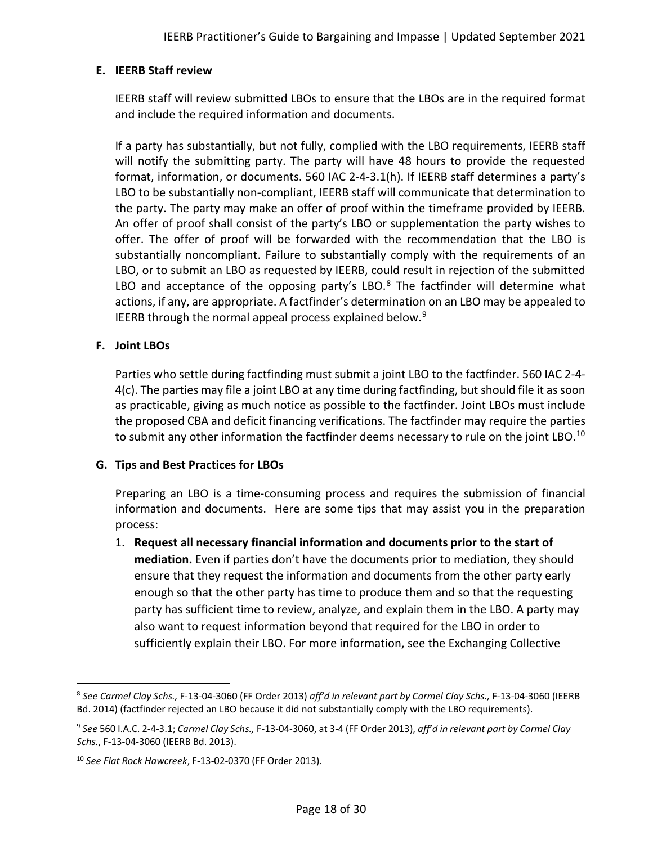## <span id="page-17-0"></span>**E. IEERB Staff review**

IEERB staff will review submitted LBOs to ensure that the LBOs are in the required format and include the required information and documents.

If a party has substantially, but not fully, complied with the LBO requirements, IEERB staff will notify the submitting party. The party will have 48 hours to provide the requested format, information, or documents. 560 IAC 2-4-3.1(h). If IEERB staff determines a party's LBO to be substantially non-compliant, IEERB staff will communicate that determination to the party. The party may make an offer of proof within the timeframe provided by IEERB. An offer of proof shall consist of the party's LBO or supplementation the party wishes to offer. The offer of proof will be forwarded with the recommendation that the LBO is substantially noncompliant. Failure to substantially comply with the requirements of an LBO, or to submit an LBO as requested by IEERB, could result in rejection of the submitted LBO and acceptance of the opposing party's LBO. $8$  The factfinder will determine what actions, if any, are appropriate. A factfinder's determination on an LBO may be appealed to IEERB through the normal appeal process explained below.<sup>[9](#page-17-4)</sup>

## <span id="page-17-1"></span>**F. Joint LBOs**

Parties who settle during factfinding must submit a joint LBO to the factfinder. 560 IAC 2-4- 4(c). The parties may file a joint LBO at any time during factfinding, but should file it as soon as practicable, giving as much notice as possible to the factfinder. Joint LBOs must include the proposed CBA and deficit financing verifications. The factfinder may require the parties to submit any other information the factfinder deems necessary to rule on the joint LBO.<sup>[10](#page-17-5)</sup>

## <span id="page-17-2"></span>**G. Tips and Best Practices for LBOs**

Preparing an LBO is a time-consuming process and requires the submission of financial information and documents. Here are some tips that may assist you in the preparation process:

1. **Request all necessary financial information and documents prior to the start of mediation.** Even if parties don't have the documents prior to mediation, they should ensure that they request the information and documents from the other party early enough so that the other party has time to produce them and so that the requesting party has sufficient time to review, analyze, and explain them in the LBO. A party may also want to request information beyond that required for the LBO in order to sufficiently explain their LBO. For more information, see the Exchanging Collective

<span id="page-17-3"></span><sup>8</sup> *See Carmel Clay Schs.,* F-13-04-3060 (FF Order 2013) *aff'd in relevant part by Carmel Clay Schs.,* F-13-04-3060 (IEERB Bd. 2014) (factfinder rejected an LBO because it did not substantially comply with the LBO requirements).

<span id="page-17-4"></span><sup>9</sup> *See* 560 I.A.C. 2-4-3.1; *Carmel Clay Schs.,* F-13-04-3060, at 3-4 (FF Order 2013), *aff'd in relevant part by Carmel Clay Schs.*, F-13-04-3060 (IEERB Bd. 2013).

<span id="page-17-5"></span><sup>10</sup> *See Flat Rock Hawcreek*, F-13-02-0370 (FF Order 2013).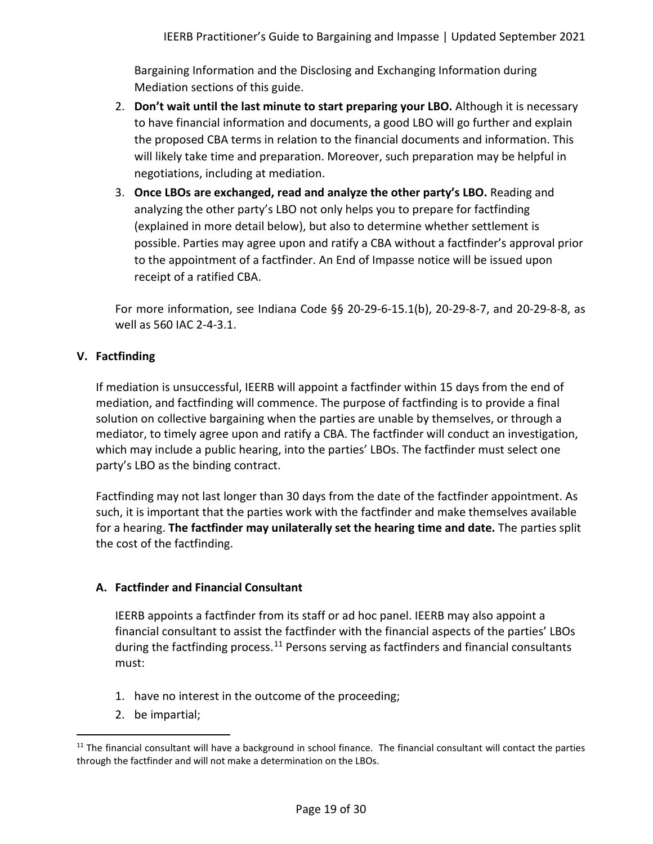Bargaining Information and the Disclosing and Exchanging Information during Mediation sections of this guide.

- 2. **Don't wait until the last minute to start preparing your LBO.** Although it is necessary to have financial information and documents, a good LBO will go further and explain the proposed CBA terms in relation to the financial documents and information. This will likely take time and preparation. Moreover, such preparation may be helpful in negotiations, including at mediation.
- 3. **Once LBOs are exchanged, read and analyze the other party's LBO.** Reading and analyzing the other party's LBO not only helps you to prepare for factfinding (explained in more detail below), but also to determine whether settlement is possible. Parties may agree upon and ratify a CBA without a factfinder's approval prior to the appointment of a factfinder. An End of Impasse notice will be issued upon receipt of a ratified CBA.

For more information, see Indiana Code §§ 20-29-6-15.1(b), 20-29-8-7, and 20-29-8-8, as well as 560 IAC 2-4-3.1.

## <span id="page-18-0"></span>**V. Factfinding**

If mediation is unsuccessful, IEERB will appoint a factfinder within 15 days from the end of mediation, and factfinding will commence. The purpose of factfinding is to provide a final solution on collective bargaining when the parties are unable by themselves, or through a mediator, to timely agree upon and ratify a CBA. The factfinder will conduct an investigation, which may include a public hearing, into the parties' LBOs. The factfinder must select one party's LBO as the binding contract.

Factfinding may not last longer than 30 days from the date of the factfinder appointment. As such, it is important that the parties work with the factfinder and make themselves available for a hearing. **The factfinder may unilaterally set the hearing time and date.** The parties split the cost of the factfinding.

## <span id="page-18-1"></span>**A. Factfinder and Financial Consultant**

IEERB appoints a factfinder from its staff or ad hoc panel. IEERB may also appoint a financial consultant to assist the factfinder with the financial aspects of the parties' LBOs during the factfinding process.<sup>[11](#page-18-2)</sup> Persons serving as factfinders and financial consultants must:

- 1. have no interest in the outcome of the proceeding;
- 2. be impartial;

<span id="page-18-2"></span> $11$  The financial consultant will have a background in school finance. The financial consultant will contact the parties through the factfinder and will not make a determination on the LBOs.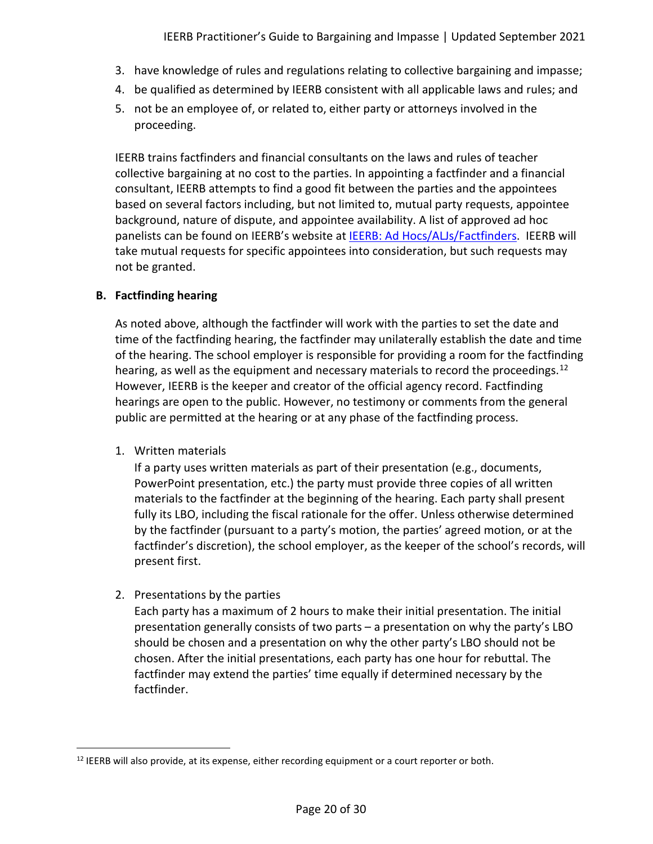- 3. have knowledge of rules and regulations relating to collective bargaining and impasse;
- 4. be qualified as determined by IEERB consistent with all applicable laws and rules; and
- 5. not be an employee of, or related to, either party or attorneys involved in the proceeding.

IEERB trains factfinders and financial consultants on the laws and rules of teacher collective bargaining at no cost to the parties. In appointing a factfinder and a financial consultant, IEERB attempts to find a good fit between the parties and the appointees based on several factors including, but not limited to, mutual party requests, appointee background, nature of dispute, and appointee availability. A list of approved ad hoc panelists can be found on IEERB's website at [IEERB: Ad Hocs/ALJs/Factfinders.](https://www.in.gov/ieerb/about-ieerb/ad-hocsaljsfactfinders/) IEERB will take mutual requests for specific appointees into consideration, but such requests may not be granted.

# <span id="page-19-0"></span>**B. Factfinding hearing**

As noted above, although the factfinder will work with the parties to set the date and time of the factfinding hearing, the factfinder may unilaterally establish the date and time of the hearing. The school employer is responsible for providing a room for the factfinding hearing, as well as the equipment and necessary materials to record the proceedings.<sup>[12](#page-19-1)</sup> However, IEERB is the keeper and creator of the official agency record. Factfinding hearings are open to the public. However, no testimony or comments from the general public are permitted at the hearing or at any phase of the factfinding process.

1. Written materials

If a party uses written materials as part of their presentation (e.g., documents, PowerPoint presentation, etc.) the party must provide three copies of all written materials to the factfinder at the beginning of the hearing. Each party shall present fully its LBO, including the fiscal rationale for the offer. Unless otherwise determined by the factfinder (pursuant to a party's motion, the parties' agreed motion, or at the factfinder's discretion), the school employer, as the keeper of the school's records, will present first.

# 2. Presentations by the parties

Each party has a maximum of 2 hours to make their initial presentation. The initial presentation generally consists of two parts – a presentation on why the party's LBO should be chosen and a presentation on why the other party's LBO should not be chosen. After the initial presentations, each party has one hour for rebuttal. The factfinder may extend the parties' time equally if determined necessary by the factfinder.

<span id="page-19-1"></span><sup>&</sup>lt;sup>12</sup> IEERB will also provide, at its expense, either recording equipment or a court reporter or both.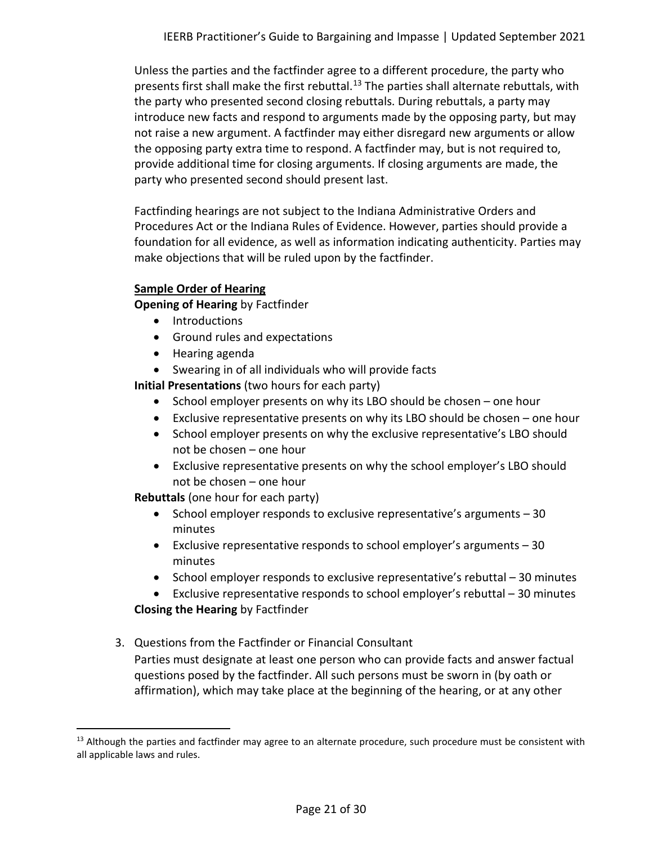Unless the parties and the factfinder agree to a different procedure, the party who presents first shall make the first rebuttal.<sup>[13](#page-20-0)</sup> The parties shall alternate rebuttals, with the party who presented second closing rebuttals. During rebuttals, a party may introduce new facts and respond to arguments made by the opposing party, but may not raise a new argument. A factfinder may either disregard new arguments or allow the opposing party extra time to respond. A factfinder may, but is not required to, provide additional time for closing arguments. If closing arguments are made, the party who presented second should present last.

Factfinding hearings are not subject to the Indiana Administrative Orders and Procedures Act or the Indiana Rules of Evidence. However, parties should provide a foundation for all evidence, as well as information indicating authenticity. Parties may make objections that will be ruled upon by the factfinder.

## **Sample Order of Hearing**

**Opening of Hearing** by Factfinder

- Introductions
- Ground rules and expectations
- Hearing agenda
- Swearing in of all individuals who will provide facts

**Initial Presentations** (two hours for each party)

- School employer presents on why its LBO should be chosen one hour
- Exclusive representative presents on why its LBO should be chosen one hour
- School employer presents on why the exclusive representative's LBO should not be chosen – one hour
- Exclusive representative presents on why the school employer's LBO should not be chosen – one hour

**Rebuttals** (one hour for each party)

- School employer responds to exclusive representative's arguments 30 minutes
- Exclusive representative responds to school employer's arguments 30 minutes
- School employer responds to exclusive representative's rebuttal 30 minutes

• Exclusive representative responds to school employer's rebuttal – 30 minutes **Closing the Hearing** by Factfinder

3. Questions from the Factfinder or Financial Consultant Parties must designate at least one person who can provide facts and answer factual questions posed by the factfinder. All such persons must be sworn in (by oath or affirmation), which may take place at the beginning of the hearing, or at any other

<span id="page-20-0"></span> $13$  Although the parties and factfinder may agree to an alternate procedure, such procedure must be consistent with all applicable laws and rules.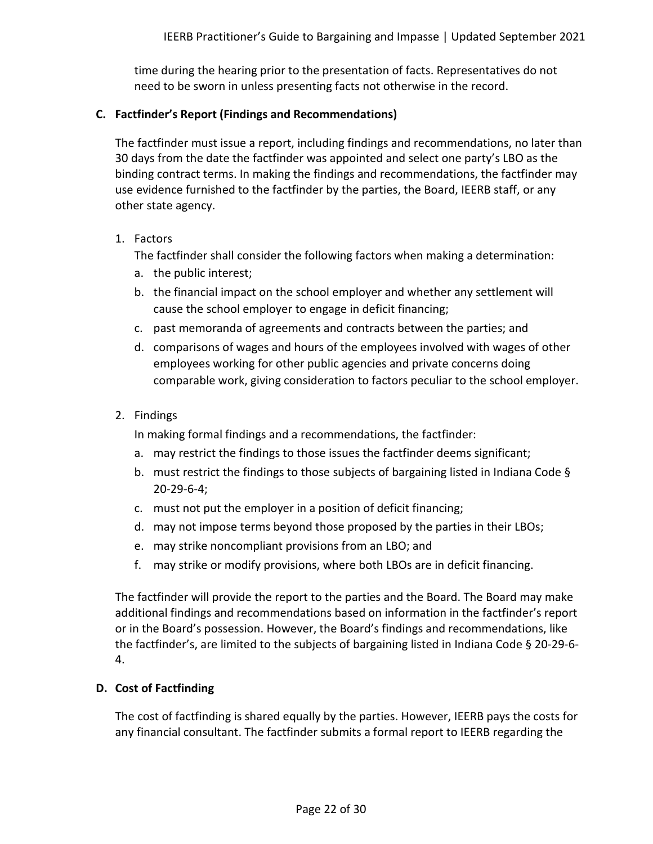time during the hearing prior to the presentation of facts. Representatives do not need to be sworn in unless presenting facts not otherwise in the record.

## <span id="page-21-0"></span>**C. Factfinder's Report (Findings and Recommendations)**

The factfinder must issue a report, including findings and recommendations, no later than 30 days from the date the factfinder was appointed and select one party's LBO as the binding contract terms. In making the findings and recommendations, the factfinder may use evidence furnished to the factfinder by the parties, the Board, IEERB staff, or any other state agency.

<span id="page-21-2"></span>1. Factors

The factfinder shall consider the following factors when making a determination:

- a. the public interest;
- b. the financial impact on the school employer and whether any settlement will cause the school employer to engage in deficit financing;
- c. past memoranda of agreements and contracts between the parties; and
- d. comparisons of wages and hours of the employees involved with wages of other employees working for other public agencies and private concerns doing comparable work, giving consideration to factors peculiar to the school employer.
- 2. Findings

In making formal findings and a recommendations, the factfinder:

- a. may restrict the findings to those issues the factfinder deems significant;
- b. must restrict the findings to those subjects of bargaining listed in Indiana Code § 20-29-6-4;
- c. must not put the employer in a position of deficit financing;
- d. may not impose terms beyond those proposed by the parties in their LBOs;
- e. may strike noncompliant provisions from an LBO; and
- f. may strike or modify provisions, where both LBOs are in deficit financing.

The factfinder will provide the report to the parties and the Board. The Board may make additional findings and recommendations based on information in the factfinder's report or in the Board's possession. However, the Board's findings and recommendations, like the factfinder's, are limited to the subjects of bargaining listed in Indiana Code § 20-29-6- 4.

## <span id="page-21-1"></span>**D. Cost of Factfinding**

The cost of factfinding is shared equally by the parties. However, IEERB pays the costs for any financial consultant. The factfinder submits a formal report to IEERB regarding the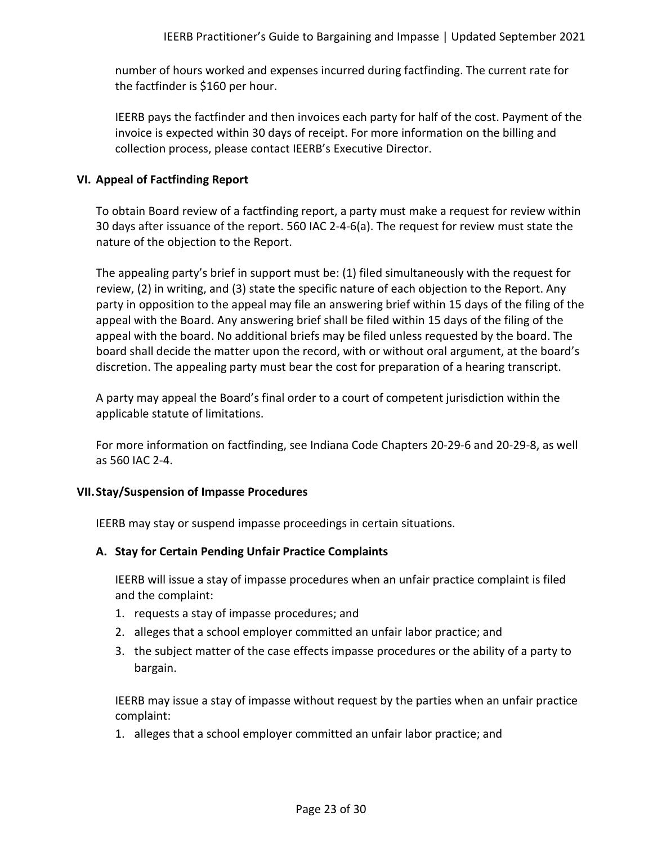number of hours worked and expenses incurred during factfinding. The current rate for the factfinder is \$160 per hour.

IEERB pays the factfinder and then invoices each party for half of the cost. Payment of the invoice is expected within 30 days of receipt. For more information on the billing and collection process, please contact IEERB's Executive Director.

#### <span id="page-22-0"></span>**VI. Appeal of Factfinding Report**

To obtain Board review of a factfinding report, a party must make a request for review within 30 days after issuance of the report. 560 IAC 2-4-6(a). The request for review must state the nature of the objection to the Report.

The appealing party's brief in support must be: (1) filed simultaneously with the request for review, (2) in writing, and (3) state the specific nature of each objection to the Report. Any party in opposition to the appeal may file an answering brief within 15 days of the filing of the appeal with the Board. Any answering brief shall be filed within 15 days of the filing of the appeal with the board. No additional briefs may be filed unless requested by the board. The board shall decide the matter upon the record, with or without oral argument, at the board's discretion. The appealing party must bear the cost for preparation of a hearing transcript.

A party may appeal the Board's final order to a court of competent jurisdiction within the applicable statute of limitations.

For more information on factfinding, see Indiana Code Chapters 20-29-6 and 20-29-8, as well as 560 IAC 2-4.

#### <span id="page-22-1"></span>**VII.Stay/Suspension of Impasse Procedures**

IEERB may stay or suspend impasse proceedings in certain situations.

## <span id="page-22-2"></span>**A. Stay for Certain Pending Unfair Practice Complaints**

IEERB will issue a stay of impasse procedures when an unfair practice complaint is filed and the complaint:

- 1. requests a stay of impasse procedures; and
- 2. alleges that a school employer committed an unfair labor practice; and
- 3. the subject matter of the case effects impasse procedures or the ability of a party to bargain.

IEERB may issue a stay of impasse without request by the parties when an unfair practice complaint:

1. alleges that a school employer committed an unfair labor practice; and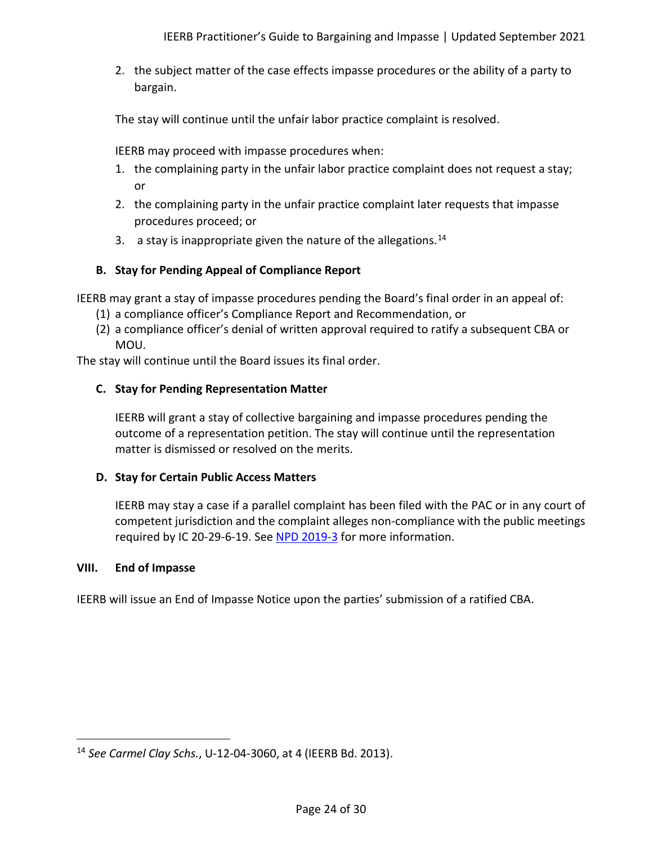2. the subject matter of the case effects impasse procedures or the ability of a party to bargain.

The stay will continue until the unfair labor practice complaint is resolved.

IEERB may proceed with impasse procedures when:

- 1. the complaining party in the unfair labor practice complaint does not request a stay; or
- 2. the complaining party in the unfair practice complaint later requests that impasse procedures proceed; or
- 3. a stay is inappropriate given the nature of the allegations.<sup>[14](#page-23-4)</sup>

# <span id="page-23-0"></span>**B. Stay for Pending Appeal of Compliance Report**

IEERB may grant a stay of impasse procedures pending the Board's final order in an appeal of:

- (1) a compliance officer's Compliance Report and Recommendation, or
- (2) a compliance officer's denial of written approval required to ratify a subsequent CBA or MOU.

<span id="page-23-1"></span>The stay will continue until the Board issues its final order.

## **C. Stay for Pending Representation Matter**

IEERB will grant a stay of collective bargaining and impasse procedures pending the outcome of a representation petition. The stay will continue until the representation matter is dismissed or resolved on the merits.

## <span id="page-23-2"></span>**D. Stay for Certain Public Access Matters**

IEERB may stay a case if a parallel complaint has been filed with the PAC or in any court of competent jurisdiction and the complaint alleges non-compliance with the public meetings required by IC 20-29-6-19. See [NPD 2019-3](http://iac.iga.in.gov/iac/20190821-IR-560190415NRA.xml.html) for more information.

## <span id="page-23-3"></span>**VIII. End of Impasse**

IEERB will issue an End of Impasse Notice upon the parties' submission of a ratified CBA.

<span id="page-23-4"></span><sup>14</sup> *See Carmel Clay Schs.*, U-12-04-3060, at 4 (IEERB Bd. 2013).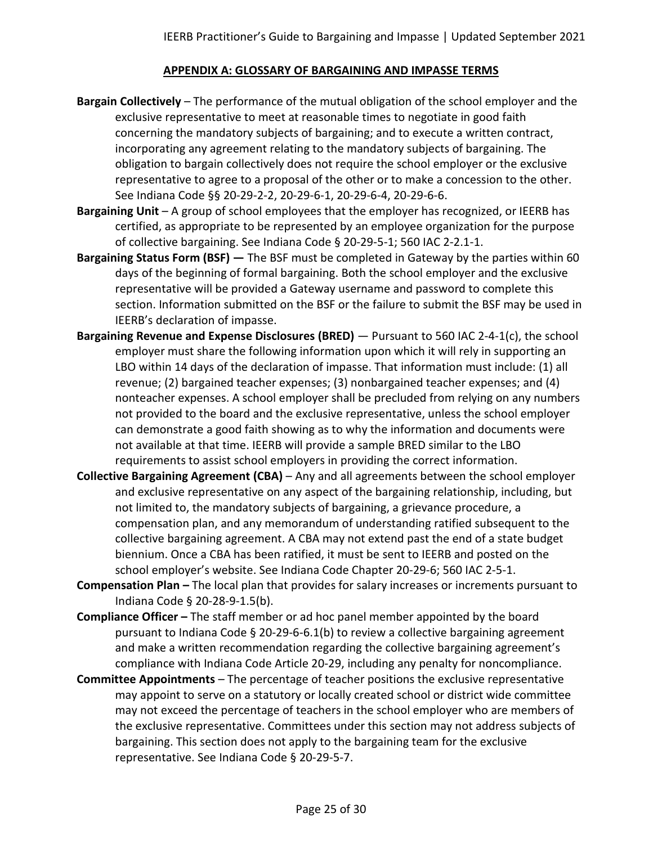## **APPENDIX A: GLOSSARY OF BARGAINING AND IMPASSE TERMS**

- <span id="page-24-0"></span>**Bargain Collectively** – The performance of the mutual obligation of the school employer and the exclusive representative to meet at reasonable times to negotiate in good faith concerning the mandatory subjects of bargaining; and to execute a written contract, incorporating any agreement relating to the mandatory subjects of bargaining. The obligation to bargain collectively does not require the school employer or the exclusive representative to agree to a proposal of the other or to make a concession to the other. See Indiana Code §§ 20-29-2-2, 20-29-6-1, 20-29-6-4, 20-29-6-6.
- **Bargaining Unit**  A group of school employees that the employer has recognized, or IEERB has certified, as appropriate to be represented by an employee organization for the purpose of collective bargaining. See Indiana Code § 20-29-5-1; 560 IAC 2-2.1-1.
- **Bargaining Status Form (BSF) —** The BSF must be completed in Gateway by the parties within 60 days of the beginning of formal bargaining. Both the school employer and the exclusive representative will be provided a Gateway username and password to complete this section. Information submitted on the BSF or the failure to submit the BSF may be used in IEERB's declaration of impasse.
- **Bargaining Revenue and Expense Disclosures (BRED)** Pursuant to 560 IAC 2-4-1(c), the school employer must share the following information upon which it will rely in supporting an LBO within 14 days of the declaration of impasse. That information must include: (1) all revenue; (2) bargained teacher expenses; (3) nonbargained teacher expenses; and (4) nonteacher expenses. A school employer shall be precluded from relying on any numbers not provided to the board and the exclusive representative, unless the school employer can demonstrate a good faith showing as to why the information and documents were not available at that time. IEERB will provide a sample BRED similar to the LBO requirements to assist school employers in providing the correct information.
- **Collective Bargaining Agreement (CBA)** Any and all agreements between the school employer and exclusive representative on any aspect of the bargaining relationship, including, but not limited to, the mandatory subjects of bargaining, a grievance procedure, a compensation plan, and any memorandum of understanding ratified subsequent to the collective bargaining agreement. A CBA may not extend past the end of a state budget biennium. Once a CBA has been ratified, it must be sent to IEERB and posted on the school employer's website. See Indiana Code Chapter 20-29-6; 560 IAC 2-5-1.
- **Compensation Plan –** The local plan that provides for salary increases or increments pursuant to Indiana Code § 20-28-9-1.5(b).
- **Compliance Officer –** The staff member or ad hoc panel member appointed by the board pursuant to Indiana Code § 20-29-6-6.1(b) to review a collective bargaining agreement and make a written recommendation regarding the collective bargaining agreement's compliance with Indiana Code Article 20-29, including any penalty for noncompliance.
- **Committee Appointments**  The percentage of teacher positions the exclusive representative may appoint to serve on a statutory or locally created school or district wide committee may not exceed the percentage of teachers in the school employer who are members of the exclusive representative. Committees under this section may not address subjects of bargaining. This section does not apply to the bargaining team for the exclusive representative. See Indiana Code § 20-29-5-7.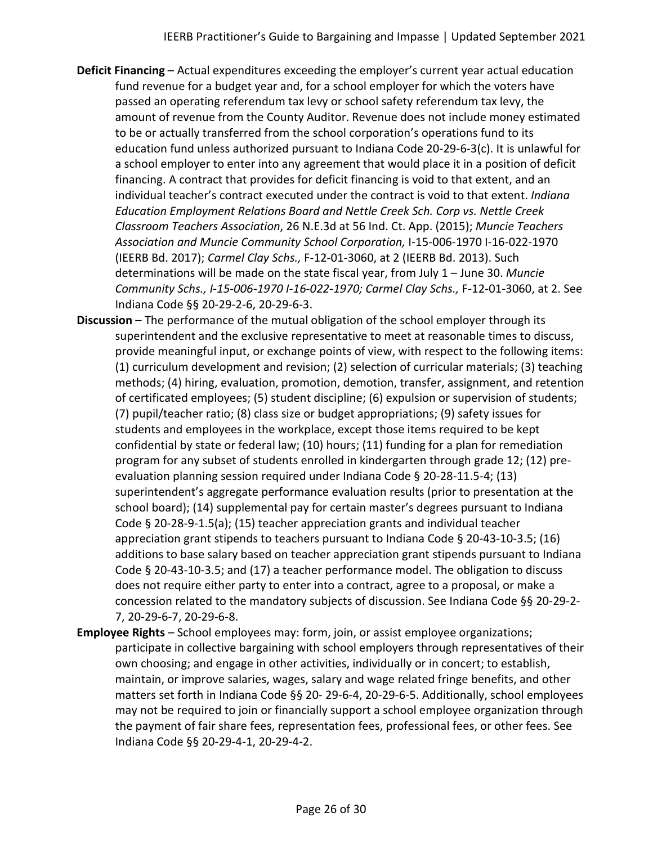- **Deficit Financing**  Actual expenditures exceeding the employer's current year actual education fund revenue for a budget year and, for a school employer for which the voters have passed an operating referendum tax levy or school safety referendum tax levy, the amount of revenue from the County Auditor. Revenue does not include money estimated to be or actually transferred from the school corporation's operations fund to its education fund unless authorized pursuant to Indiana Code 20-29-6-3(c). It is unlawful for a school employer to enter into any agreement that would place it in a position of deficit financing. A contract that provides for deficit financing is void to that extent, and an individual teacher's contract executed under the contract is void to that extent. *Indiana Education Employment Relations Board and Nettle Creek Sch. Corp vs. Nettle Creek Classroom Teachers Association*, 26 N.E.3d at 56 Ind. Ct. App. (2015); *Muncie Teachers Association and Muncie Community School Corporation,* I-15-006-1970 I-16-022-1970 (IEERB Bd. 2017); *Carmel Clay Schs.,* F-12-01-3060, at 2 (IEERB Bd. 2013). Such determinations will be made on the state fiscal year, from July 1 – June 30. *Muncie Community Schs., I-15-006-1970 I-16-022-1970; Carmel Clay Schs.,* F-12-01-3060, at 2. See Indiana Code §§ 20-29-2-6, 20-29-6-3.
- **Discussion**  The performance of the mutual obligation of the school employer through its superintendent and the exclusive representative to meet at reasonable times to discuss, provide meaningful input, or exchange points of view, with respect to the following items: (1) curriculum development and revision; (2) selection of curricular materials; (3) teaching methods; (4) hiring, evaluation, promotion, demotion, transfer, assignment, and retention of certificated employees; (5) student discipline; (6) expulsion or supervision of students; (7) pupil/teacher ratio; (8) class size or budget appropriations; (9) safety issues for students and employees in the workplace, except those items required to be kept confidential by state or federal law; (10) hours; (11) funding for a plan for remediation program for any subset of students enrolled in kindergarten through grade 12; (12) preevaluation planning session required under Indiana Code § 20-28-11.5-4; (13) superintendent's aggregate performance evaluation results (prior to presentation at the school board); (14) supplemental pay for certain master's degrees pursuant to Indiana Code § 20-28-9-1.5(a); (15) teacher appreciation grants and individual teacher appreciation grant stipends to teachers pursuant to Indiana Code § 20-43-10-3.5; (16) additions to base salary based on teacher appreciation grant stipends pursuant to Indiana Code § 20-43-10-3.5; and (17) a teacher performance model. The obligation to discuss does not require either party to enter into a contract, agree to a proposal, or make a concession related to the mandatory subjects of discussion. See Indiana Code §§ 20-29-2- 7, 20-29-6-7, 20-29-6-8.
- **Employee Rights**  School employees may: form, join, or assist employee organizations; participate in collective bargaining with school employers through representatives of their own choosing; and engage in other activities, individually or in concert; to establish, maintain, or improve salaries, wages, salary and wage related fringe benefits, and other matters set forth in Indiana Code §§ 20- 29-6-4, 20-29-6-5. Additionally, school employees may not be required to join or financially support a school employee organization through the payment of fair share fees, representation fees, professional fees, or other fees. See Indiana Code §§ 20-29-4-1, 20-29-4-2.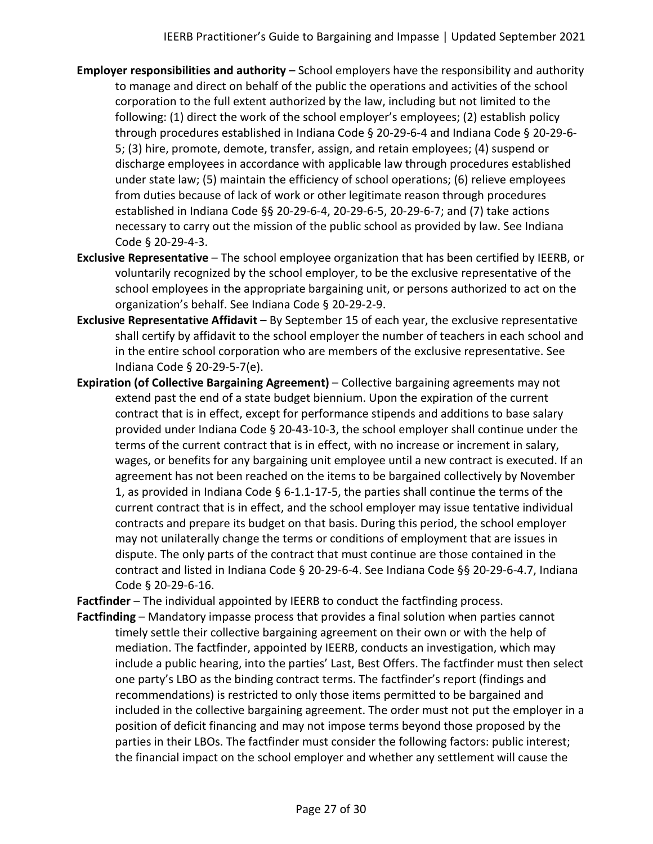- **Employer responsibilities and authority**  School employers have the responsibility and authority to manage and direct on behalf of the public the operations and activities of the school corporation to the full extent authorized by the law, including but not limited to the following: (1) direct the work of the school employer's employees; (2) establish policy through procedures established in Indiana Code § 20-29-6-4 and Indiana Code § 20-29-6- 5; (3) hire, promote, demote, transfer, assign, and retain employees; (4) suspend or discharge employees in accordance with applicable law through procedures established under state law; (5) maintain the efficiency of school operations; (6) relieve employees from duties because of lack of work or other legitimate reason through procedures established in Indiana Code §§ 20-29-6-4, 20-29-6-5, 20-29-6-7; and (7) take actions necessary to carry out the mission of the public school as provided by law. See Indiana Code § 20-29-4-3.
- **Exclusive Representative**  The school employee organization that has been certified by IEERB, or voluntarily recognized by the school employer, to be the exclusive representative of the school employees in the appropriate bargaining unit, or persons authorized to act on the organization's behalf. See Indiana Code § 20-29-2-9.
- **Exclusive Representative Affidavit** By September 15 of each year, the exclusive representative shall certify by affidavit to the school employer the number of teachers in each school and in the entire school corporation who are members of the exclusive representative. See Indiana Code § 20-29-5-7(e).
- **Expiration (of Collective Bargaining Agreement)**  Collective bargaining agreements may not extend past the end of a state budget biennium. Upon the expiration of the current contract that is in effect, except for performance stipends and additions to base salary provided under Indiana Code § 20-43-10-3, the school employer shall continue under the terms of the current contract that is in effect, with no increase or increment in salary, wages, or benefits for any bargaining unit employee until a new contract is executed. If an agreement has not been reached on the items to be bargained collectively by November 1, as provided in Indiana Code § 6-1.1-17-5, the parties shall continue the terms of the current contract that is in effect, and the school employer may issue tentative individual contracts and prepare its budget on that basis. During this period, the school employer may not unilaterally change the terms or conditions of employment that are issues in dispute. The only parts of the contract that must continue are those contained in the contract and listed in Indiana Code § 20-29-6-4. See Indiana Code §§ 20-29-6-4.7, Indiana Code § 20-29-6-16.

**Factfinder** – The individual appointed by IEERB to conduct the factfinding process.

**Factfinding** – Mandatory impasse process that provides a final solution when parties cannot timely settle their collective bargaining agreement on their own or with the help of mediation. The factfinder, appointed by IEERB, conducts an investigation, which may include a public hearing, into the parties' Last, Best Offers. The factfinder must then select one party's LBO as the binding contract terms. The factfinder's report (findings and recommendations) is restricted to only those items permitted to be bargained and included in the collective bargaining agreement. The order must not put the employer in a position of deficit financing and may not impose terms beyond those proposed by the parties in their LBOs. The factfinder must consider the following factors: public interest; the financial impact on the school employer and whether any settlement will cause the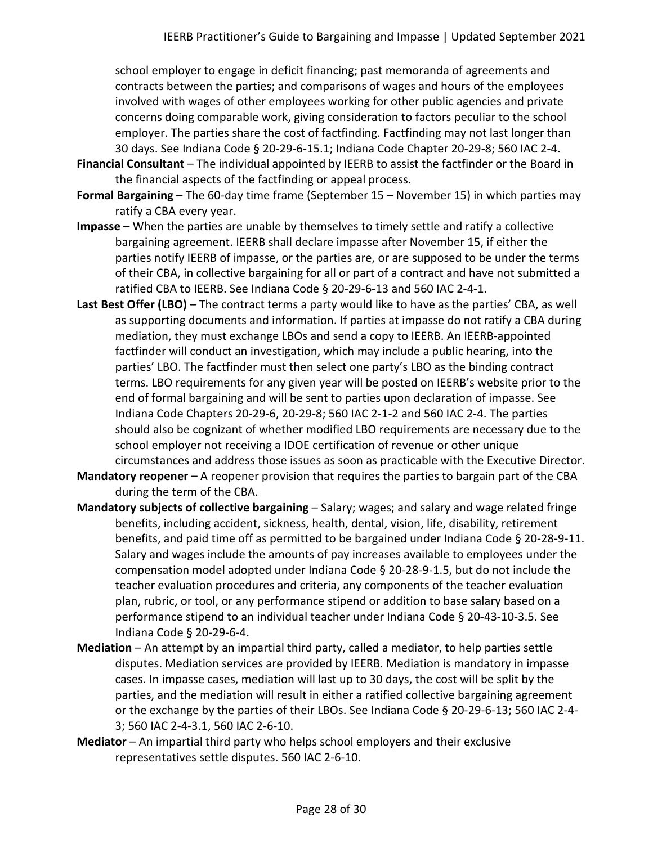school employer to engage in deficit financing; past memoranda of agreements and contracts between the parties; and comparisons of wages and hours of the employees involved with wages of other employees working for other public agencies and private concerns doing comparable work, giving consideration to factors peculiar to the school employer. The parties share the cost of factfinding. Factfinding may not last longer than 30 days. See Indiana Code § 20-29-6-15.1; Indiana Code Chapter 20-29-8; 560 IAC 2-4.

- **Financial Consultant**  The individual appointed by IEERB to assist the factfinder or the Board in the financial aspects of the factfinding or appeal process.
- **Formal Bargaining**  The 60-day time frame (September 15 November 15) in which parties may ratify a CBA every year.
- **Impasse**  When the parties are unable by themselves to timely settle and ratify a collective bargaining agreement. IEERB shall declare impasse after November 15, if either the parties notify IEERB of impasse, or the parties are, or are supposed to be under the terms of their CBA, in collective bargaining for all or part of a contract and have not submitted a ratified CBA to IEERB. See Indiana Code § 20-29-6-13 and 560 IAC 2-4-1.
- Last Best Offer (LBO) The contract terms a party would like to have as the parties' CBA, as well as supporting documents and information. If parties at impasse do not ratify a CBA during mediation, they must exchange LBOs and send a copy to IEERB. An IEERB-appointed factfinder will conduct an investigation, which may include a public hearing, into the parties' LBO. The factfinder must then select one party's LBO as the binding contract terms. LBO requirements for any given year will be posted on IEERB's website prior to the end of formal bargaining and will be sent to parties upon declaration of impasse. See Indiana Code Chapters 20-29-6, 20-29-8; 560 IAC 2-1-2 and 560 IAC 2-4. The parties should also be cognizant of whether modified LBO requirements are necessary due to the school employer not receiving a IDOE certification of revenue or other unique circumstances and address those issues as soon as practicable with the Executive Director.
- **Mandatory reopener –** A reopener provision that requires the parties to bargain part of the CBA during the term of the CBA.
- **Mandatory subjects of collective bargaining**  Salary; wages; and salary and wage related fringe benefits, including accident, sickness, health, dental, vision, life, disability, retirement benefits, and paid time off as permitted to be bargained under Indiana Code § 20-28-9-11. Salary and wages include the amounts of pay increases available to employees under the compensation model adopted under Indiana Code § 20-28-9-1.5, but do not include the teacher evaluation procedures and criteria, any components of the teacher evaluation plan, rubric, or tool, or any performance stipend or addition to base salary based on a performance stipend to an individual teacher under Indiana Code § 20-43-10-3.5. See Indiana Code § 20-29-6-4.
- **Mediation**  An attempt by an impartial third party, called a mediator, to help parties settle disputes. Mediation services are provided by IEERB. Mediation is mandatory in impasse cases. In impasse cases, mediation will last up to 30 days, the cost will be split by the parties, and the mediation will result in either a ratified collective bargaining agreement or the exchange by the parties of their LBOs. See Indiana Code § 20-29-6-13; 560 IAC 2-4- 3; 560 IAC 2-4-3.1, 560 IAC 2-6-10.
- **Mediator**  An impartial third party who helps school employers and their exclusive representatives settle disputes. 560 IAC 2-6-10.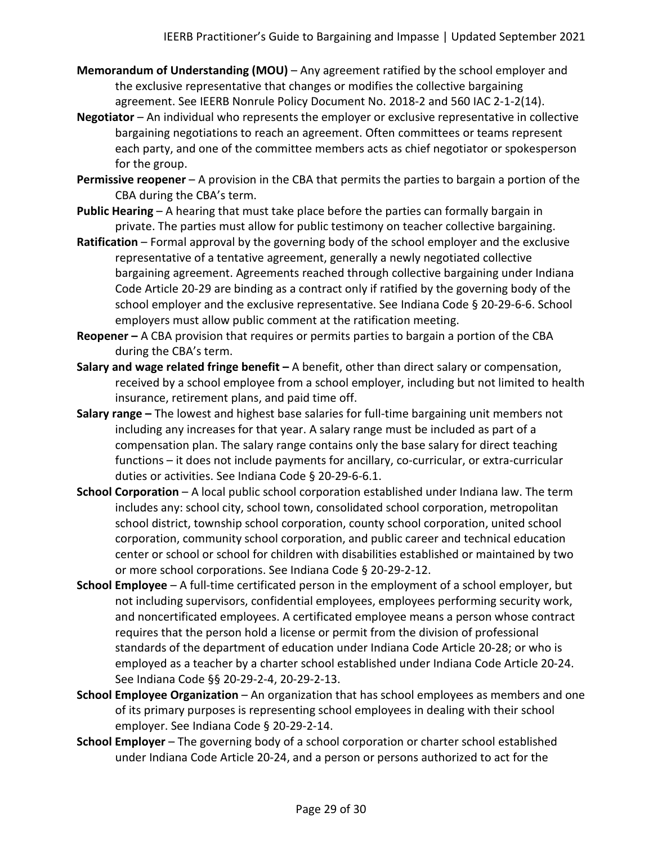- **Memorandum of Understanding (MOU)** Any agreement ratified by the school employer and the exclusive representative that changes or modifies the collective bargaining agreement. See IEERB Nonrule Policy Document No. 2018-2 and 560 IAC 2-1-2(14).
- **Negotiator**  An individual who represents the employer or exclusive representative in collective bargaining negotiations to reach an agreement. Often committees or teams represent each party, and one of the committee members acts as chief negotiator or spokesperson for the group.
- **Permissive reopener** A provision in the CBA that permits the parties to bargain a portion of the CBA during the CBA's term.
- **Public Hearing**  A hearing that must take place before the parties can formally bargain in private. The parties must allow for public testimony on teacher collective bargaining.
- **Ratification**  Formal approval by the governing body of the school employer and the exclusive representative of a tentative agreement, generally a newly negotiated collective bargaining agreement. Agreements reached through collective bargaining under Indiana Code Article 20-29 are binding as a contract only if ratified by the governing body of the school employer and the exclusive representative. See Indiana Code § 20-29-6-6. School employers must allow public comment at the ratification meeting.
- **Reopener –** A CBA provision that requires or permits parties to bargain a portion of the CBA during the CBA's term.
- **Salary and wage related fringe benefit –** A benefit, other than direct salary or compensation, received by a school employee from a school employer, including but not limited to health insurance, retirement plans, and paid time off.
- **Salary range –** The lowest and highest base salaries for full-time bargaining unit members not including any increases for that year. A salary range must be included as part of a compensation plan. The salary range contains only the base salary for direct teaching functions – it does not include payments for ancillary, co-curricular, or extra-curricular duties or activities. See Indiana Code § 20-29-6-6.1.
- **School Corporation**  A local public school corporation established under Indiana law. The term includes any: school city, school town, consolidated school corporation, metropolitan school district, township school corporation, county school corporation, united school corporation, community school corporation, and public career and technical education center or school or school for children with disabilities established or maintained by two or more school corporations. See Indiana Code § 20-29-2-12.
- **School Employee**  A full-time certificated person in the employment of a school employer, but not including supervisors, confidential employees, employees performing security work, and noncertificated employees. A certificated employee means a person whose contract requires that the person hold a license or permit from the division of professional standards of the department of education under Indiana Code Article 20-28; or who is employed as a teacher by a charter school established under Indiana Code Article 20-24. See Indiana Code §§ 20-29-2-4, 20-29-2-13.
- **School Employee Organization** An organization that has school employees as members and one of its primary purposes is representing school employees in dealing with their school employer. See Indiana Code § 20-29-2-14.
- **School Employer** The governing body of a school corporation or charter school established under Indiana Code Article 20-24, and a person or persons authorized to act for the